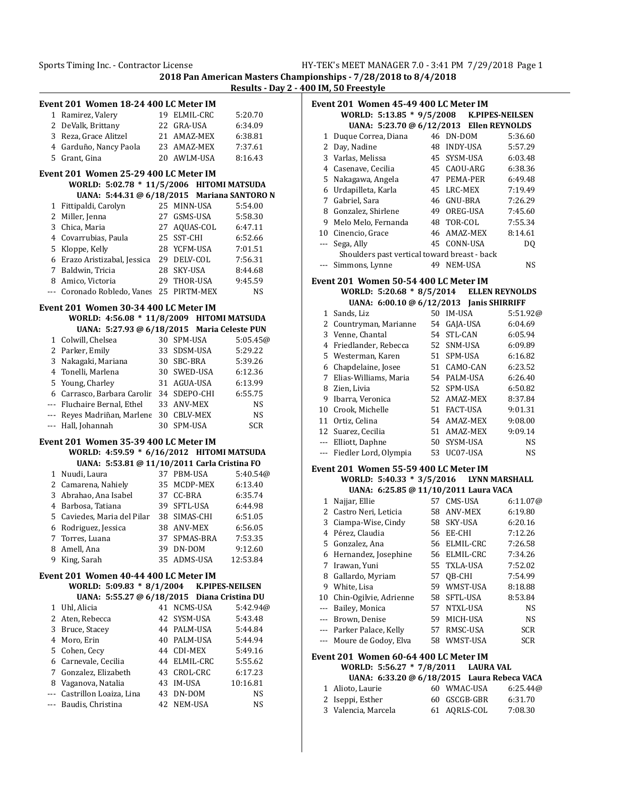**2018 Pan American Masters Championships - 7/28/2018 to 8/4/2018 Results - Day 2 - 400 IM, 50 Freestyle**

|       | Event 201 Women 18-24 400 LC Meter IM        |    |              |            |
|-------|----------------------------------------------|----|--------------|------------|
| 1     | Ramirez, Valery                              |    | 19 ELMIL-CRC | 5:20.70    |
|       | 2 DeValk, Brittany                           |    | 22 GRA-USA   | 6:34.09    |
|       | 3 Reza, Grace Alitzel                        |    | 21 AMAZ-MEX  | 6:38.81    |
|       | 4 Garduño, Nancy Paola                       |    | 23 AMAZ-MEX  | 7:37.61    |
|       | 5 Grant, Gina                                |    | 20 AWLM-USA  | 8:16.43    |
|       | Event 201 Women 25-29 400 LC Meter IM        |    |              |            |
|       | WORLD: 5:02.78 * 11/5/2006 HITOMI MATSUDA    |    |              |            |
|       | UANA: 5:44.31 @ 6/18/2015 Mariana SANTORO N  |    |              |            |
| 1     | Fittipaldi, Carolyn                          |    | 25 MINN-USA  | 5:54.00    |
|       | 2 Miller, Jenna                              | 27 | GSMS-USA     | 5:58.30    |
|       | 3 Chica, Maria                               |    | 27 AQUAS-COL | 6:47.11    |
|       | 4 Covarrubias, Paula                         |    | 25 SST-CHI   | 6:52.66    |
|       | 5 Kloppe, Kelly                              |    | 28 YCFM-USA  | 7:01.51    |
|       | 6 Erazo Aristizabal, Jessica                 |    | 29 DELV-COL  | 7:56.31    |
|       | 7 Baldwin, Tricia                            |    | 28 SKY-USA   | 8:44.68    |
|       | 8 Amico, Victoria                            |    | 29 THOR-USA  | 9:45.59    |
| $---$ | Coronado Robledo, Vanes                      |    | 25 PIRTM-MEX | NS         |
|       |                                              |    |              |            |
|       | Event 201 Women 30-34 400 LC Meter IM        |    |              |            |
|       | WORLD: 4:56.08 * 11/8/2009 HITOMI MATSUDA    |    |              |            |
|       | UANA: 5:27.93 @ 6/18/2015 Maria Celeste PUN  |    |              |            |
|       | 1 Colwill, Chelsea                           |    | 30 SPM-USA   | 5:05.45@   |
|       | 2 Parker, Emily                              |    | 33 SDSM-USA  | 5:29.22    |
|       | 3 Nakagaki, Mariana                          |    | 30 SBC-BRA   | 5:39.26    |
|       | 4 Tonelli, Marlena                           |    | 30 SWED-USA  | 6:12.36    |
| 5.    | Young, Charley                               |    | 31 AGUA-USA  | 6:13.99    |
|       | 6 Carrasco, Barbara Carolir                  |    | 34 SDEPO-CHI | 6:55.75    |
|       | --- Fluchaire Bernal, Ethel                  |    | 33 ANV-MEX   | NS         |
|       | --- Reyes Madriñan, Marlene                  |    | 30 CBLV-MEX  | NS         |
| $---$ | Hall, Johannah                               |    | 30 SPM-USA   | <b>SCR</b> |
|       | Event 201 Women 35-39 400 LC Meter IM        |    |              |            |
|       | WORLD: 4:59.59 * 6/16/2012 HITOMI MATSUDA    |    |              |            |
|       | UANA: 5:53.81 @ 11/10/2011 Carla Cristina FO |    |              |            |
|       | 1 Nuudi, Laura                               |    | 37 PBM-USA   | 5:40.54@   |
|       | 2 Camarena, Nahiely                          |    | 35 MCDP-MEX  | 6:13.40    |
|       | 3 Abrahao, Ana Isabel                        |    | 37 CC-BRA    | 6:35.74    |
|       | 4 Barbosa, Tatiana                           |    | 39 SFTL-USA  | 6:44.98    |
|       | 5 Caviedes, Maria del Pilar 38 SIMAS-CHI     |    |              | 6:51.05    |
|       | 6 Rodriguez, Jessica                         |    | 38 ANV-MEX   | 6:56.05    |
| 7     | Torres, Luana                                | 37 | SPMAS-BRA    | 7:53.35    |
|       | 8 Amell, Ana                                 |    | 39 DN-DOM    | 9:12.60    |
|       | 9 King, Sarah                                |    | 35 ADMS-USA  | 12:53.84   |
|       | Event 201 Women 40-44 400 LC Meter IM        |    |              |            |
|       | WORLD: 5:09.83 * 8/1/2004 K.PIPES-NEILSEN    |    |              |            |
|       | UANA: 5:55.27 @ 6/18/2015 Diana Cristina DU  |    |              |            |
|       | 1 Uhl, Alicia                                |    | 41 NCMS-USA  | 5:42.94@   |
|       | 2 Aten, Rebecca                              | 42 | SYSM-USA     | 5:43.48    |
|       | 3 Bruce, Stacey                              |    | 44 PALM-USA  | 5:44.84    |
|       | 4 Moro, Erin                                 |    | 40 PALM-USA  | 5:44.94    |
|       | 5 Cohen, Cecy                                |    | 44 CDI-MEX   | 5:49.16    |
|       | 6 Carnevale, Cecilia                         |    | 44 ELMIL-CRC | 5:55.62    |
| 7     | Gonzalez, Elizabeth                          |    | 43 CROL-CRC  | 6:17.23    |
|       | 8 Vaganova, Natalia                          |    | 43 IM-USA    | 10:16.81   |
|       | --- Castrillon Loaiza, Lina                  |    | 43 DN-DOM    | NS         |
|       |                                              |    |              |            |
|       | --- Baudis, Christina                        |    | 42 NEM-USA   | NS         |

|     | pionships - 7/28/2018 to 8/4/2018<br>00 IM, 50 Freestyle                     |    |                            |                    |
|-----|------------------------------------------------------------------------------|----|----------------------------|--------------------|
|     | Event 201 Women 45-49 400 LC Meter IM                                        |    |                            |                    |
|     | WORLD: 5:13.85 * 9/5/2008 K.PIPES-NEILSEN                                    |    |                            |                    |
|     | UANA: 5:23.70 @ 6/12/2013 Ellen REYNOLDS                                     |    |                            |                    |
| 1   | Duque Correa, Diana                                                          |    | 46 DN-DOM                  | 5:36.60            |
|     | 2 Day, Nadine<br>3 Varlas, Melissa                                           |    | 48 INDY-USA                | 5:57.29            |
|     |                                                                              |    | 45 SYSM-USA                | 6:03.48            |
| 5   | 4 Casenave, Cecilia                                                          |    | 45 CAOU-ARG<br>47 PEMA-PER | 6:38.36<br>6:49.48 |
| 6   | Nakagawa, Angela<br>Urdapilleta, Karla                                       |    | 45 LRC-MEX                 | 7:19.49            |
| 7   | Gabriel, Sara                                                                |    | 46 GNU-BRA                 | 7:26.29            |
| 8   | Gonzalez, Shirlene                                                           |    | 49 OREG-USA                | 7:45.60            |
| 9   | Melo Melo, Fernanda                                                          |    | 48 TOR-COL                 | 7:55.34            |
|     | 10 Cinencio, Grace                                                           |    | 46 AMAZ-MEX                | 8:14.61            |
| --- | Sega, Ally                                                                   | 45 | CONN-USA                   | DQ                 |
|     | Shoulders past vertical toward breast - back                                 |    |                            |                    |
| --- | Simmons, Lynne                                                               |    | 49 NEM-USA                 | NS                 |
|     |                                                                              |    |                            |                    |
|     | Event 201 Women 50-54 400 LC Meter IM                                        |    |                            |                    |
|     | WORLD: 5:20.68 * 8/5/2014 ELLEN REYNOLDS                                     |    |                            |                    |
|     | UANA: 6:00.10 @ 6/12/2013 Janis SHIRRIFF                                     |    |                            |                    |
|     | 1 Sands, Liz                                                                 |    | 50 IM-USA                  | 5:51.92@           |
|     | 2 Countryman, Marianne                                                       |    | 54 GAJA-USA                | 6:04.69            |
|     | 3 Venne, Chantal                                                             |    | 54 STL-CAN                 | 6:05.94            |
|     | 4 Friedlander, Rebecca                                                       |    | 52 SNM-USA                 | 6:09.89            |
| 5   | Westerman, Karen                                                             |    | 51 SPM-USA                 | 6:16.82            |
| 6   | Chapdelaine, Josee                                                           |    | 51 CAMO-CAN                | 6:23.52            |
| 7   | Elias-Williams, Maria                                                        |    | 54 PALM-USA                | 6:26.40            |
| 8   | Zien, Livia                                                                  |    | 52 SPM-USA                 | 6:50.82            |
|     | 9 Ibarra, Veronica                                                           |    | 52 AMAZ-MEX                | 8:37.84            |
|     | 10 Crook, Michelle                                                           |    | 51 FACT-USA                | 9:01.31            |
|     | 11 Ortiz, Celina                                                             |    | 54 AMAZ-MEX                | 9:08.00            |
| 12  | Suarez, Cecilia                                                              |    | 51 AMAZ-MEX                | 9:09.14            |
|     | --- Elliott, Daphne                                                          |    | 50 SYSM-USA                | NS                 |
|     | --- Fiedler Lord, Olympia                                                    |    | 53 UC07-USA                | NS                 |
|     | Event 201 Women 55-59 400 LC Meter IM                                        |    |                            |                    |
|     | WORLD: 5:40.33 * 3/5/2016 LYNN MARSHALL                                      |    |                            |                    |
|     | UANA: 6:25.85 @ 11/10/2011 Laura VACA                                        |    |                            |                    |
|     | 1 Najjar, Ellie                                                              |    | 57 CMS-USA                 | 6:11.07@           |
|     | 2 Castro Neri, Leticia                                                       |    | 58 ANV-MEX                 | 6:19.80            |
|     | 3 Ciampa-Wise, Cindy                                                         |    | 58 SKY-USA                 | 6:20.16            |
| 4   | Pérez, Claudia                                                               | 56 | EE-CHI                     | 7:12.26            |
| 5   | Gonzalez, Ana                                                                | 56 | ELMIL-CRC                  | 7:26.58            |
| 6   | Hernandez, Josephine                                                         | 56 | ELMIL-CRC                  | 7:34.26            |
| 7   | Irawan, Yuni                                                                 | 55 | TXLA-USA                   | 7:52.02            |
| 8   | Gallardo, Myriam                                                             |    | 57 QB-CHI                  | 7:54.99            |
| 9   | White, Lisa                                                                  |    | 59 WMST-USA                | 8:18.88            |
| 10  | Chin-Ogilvie, Adrienne                                                       | 58 | SFTL-USA                   | 8:53.84            |
| --- | Bailey, Monica                                                               | 57 | NTXL-USA                   | NS                 |
| --- | Brown, Denise                                                                | 59 | MICH-USA                   | NS                 |
|     | --- Parker Palace, Kelly                                                     | 57 | RMSC-USA                   | SCR                |
| --- | Moure de Godoy, Elva                                                         | 58 | WMST-USA                   | SCR                |
|     | Event 201 Women 60-64 400 LC Meter IM<br>WORLD: 5:56.27 * 7/8/2011 LAURA VAL |    |                            |                    |

**UANA: 6:33.20 @ 6/18/2015 Laura Rebeca VACA**

| 1 Alioto, Laurie    | 60 WMAC-USA  | 6:25.44@ |
|---------------------|--------------|----------|
| 2 Iseppi, Esther    | 60 GSCGB-GBR | 6:31.70  |
| 3 Valencia, Marcela | 61 AQRLS-COL | 7:08.30  |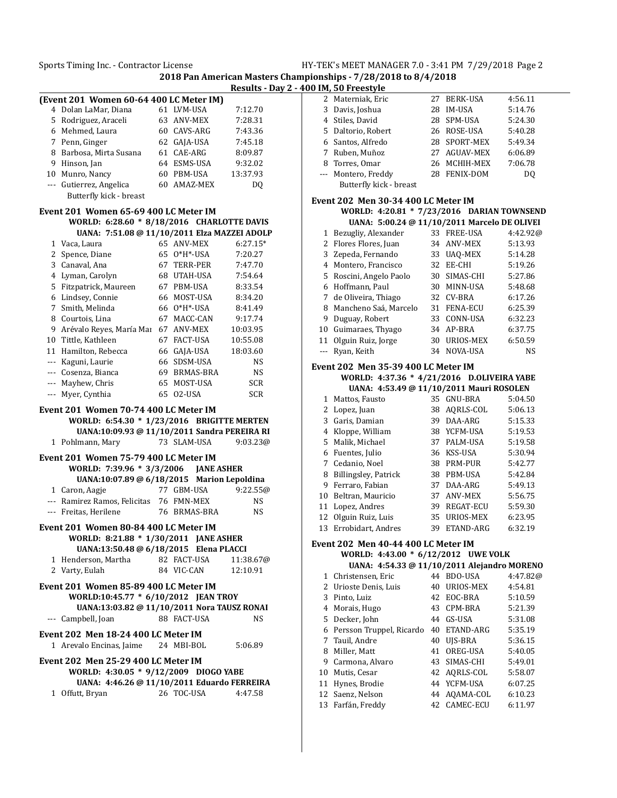**2018 Pan American Masters Championships - 7/28/2018 to 8/4/2018 Results - Day 2 - 400 IM, 50 Freestyle**

|   | (Event 201 Women 60-64 400 LC Meter IM)                       |    |                   |                       |
|---|---------------------------------------------------------------|----|-------------------|-----------------------|
|   | 4 Dolan LaMar, Diana                                          |    | 61 LVM-USA        | 7:12.70               |
|   | 5 Rodriguez, Araceli                                          |    | 63 ANV-MEX        | 7:28.31               |
|   | 6 Mehmed, Laura                                               |    | 60 CAVS-ARG       | 7:43.36               |
|   |                                                               |    |                   | 7:45.18               |
|   | 7 Penn, Ginger                                                |    | 62 GAJA-USA       |                       |
|   | 8 Barbosa, Mirta Susana                                       |    | 61 CAE-ARG        | 8:09.87               |
|   | 9 Hinson, Jan                                                 |    | 64 ESMS-USA       | 9:32.02               |
|   | 10 Munro, Nancy                                               |    | 60 PBM-USA        | 13:37.93              |
|   | --- Gutierrez, Angelica                                       |    | 60 AMAZ-MEX       | DQ                    |
|   | Butterfly kick - breast                                       |    |                   |                       |
|   | Event 201 Women 65-69 400 LC Meter IM                         |    |                   |                       |
|   | WORLD: 6:28.60 * 8/18/2016 CHARLOTTE DAVIS                    |    |                   |                       |
|   | UANA: 7:51.08 @ 11/10/2011 Elza MAZZEI ADOLP                  |    |                   |                       |
|   | 1 Vaca, Laura                                                 |    | 65 ANV-MEX        | $6:27.15*$            |
|   | 2 Spence, Diane                                               |    | 65 0*H*-USA       | 7:20.27               |
|   | 3 Canaval, Ana                                                |    | 67 TERR-PER       | 7:47.70               |
|   | 4 Lyman, Carolyn                                              |    | 68 UTAH-USA       | 7:54.64               |
|   | 5 Fitzpatrick, Maureen                                        |    | 67 PBM-USA        | 8:33.54               |
|   | 6 Lindsey, Connie                                             |    | 66 MOST-USA       | 8:34.20               |
|   |                                                               |    | 66 0*H*-USA       |                       |
|   | 7 Smith, Melinda                                              |    |                   | 8:41.49               |
|   | 8 Courtois, Lina                                              |    | 67 MACC-CAN       | 9:17.74               |
|   | 9 Arévalo Reyes, María Mar                                    |    | 67 ANV-MEX        | 10:03.95              |
|   | 10 Tittle, Kathleen                                           |    | 67 FACT-USA       | 10:55.08              |
|   | 11 Hamilton, Rebecca                                          |    | 66 GAJA-USA       | 18:03.60              |
|   | --- Kaguni, Laurie                                            |    | 66 SDSM-USA       | NS                    |
|   | --- Cosenza, Bianca                                           |    | 69 BRMAS-BRA      | NS                    |
|   | --- Mayhew, Chris                                             |    | 65 MOST-USA       | <b>SCR</b>            |
|   | --- Myer, Cynthia                                             | 65 | 02-USA            | <b>SCR</b>            |
|   |                                                               |    |                   |                       |
|   |                                                               |    |                   |                       |
|   | Event 201 Women 70-74 400 LC Meter IM                         |    |                   |                       |
|   | WORLD: 6:54.30 * 1/23/2016 BRIGITTE MERTEN                    |    |                   |                       |
| 1 | UANA:10:09.93 @ 11/10/2011 Sandra PEREIRA RI                  |    | 73 SLAM-USA       |                       |
|   | Pohlmann, Mary                                                |    |                   | 9:03.23@              |
|   | Event 201 Women 75-79 400 LC Meter IM                         |    |                   |                       |
|   | WORLD: 7:39.96 * 3/3/2006 JANE ASHER                          |    |                   |                       |
|   | UANA:10:07.89 @ 6/18/2015 Marion Lepoldina                    |    |                   |                       |
|   | 1 Caron, Aagje                                                |    | 77 GBM-USA        | 9:22.55@              |
|   | --- Ramirez Ramos, Felicitas 76 FMN-MEX                       |    |                   | NS                    |
|   | --- Freitas, Herilene                                         |    | 76 BRMAS-BRA      | NS                    |
|   |                                                               |    |                   |                       |
|   | Event 201 Women 80-84 400 LC Meter IM                         |    | <b>JANE ASHER</b> |                       |
|   | WORLD: 8:21.88 * 1/30/2011                                    |    |                   |                       |
|   | UANA:13:50.48 @ 6/18/2015 Elena PLACCI<br>1 Henderson, Martha |    | 82 FACT-USA       |                       |
|   |                                                               |    | 84 VIC-CAN        | 11:38.67@<br>12:10.91 |
|   | 2 Varty, Eulah                                                |    |                   |                       |
|   | Event 201 Women 85-89 400 LC Meter IM                         |    |                   |                       |
|   | WORLD:10:45.77 * 6/10/2012 JEAN TROY                          |    |                   |                       |
|   | UANA:13:03.82 @ 11/10/2011 Nora TAUSZ RONAI                   |    |                   |                       |
|   | --- Campbell, Joan                                            |    | 88 FACT-USA       | NS                    |
|   | Event 202 Men 18-24 400 LC Meter IM                           |    |                   |                       |
|   | 1 Arevalo Encinas, Jaime 24 MBI-BOL                           |    |                   | 5:06.89               |
|   |                                                               |    |                   |                       |
|   | Event 202 Men 25-29 400 LC Meter IM                           |    |                   |                       |
|   | WORLD: 4:30.05 * 9/12/2009 DIOGO YABE                         |    |                   |                       |
|   | UANA: 4:46.26 @ 11/10/2011 Eduardo FERREIRA                   |    |                   |                       |
|   | 1 Offutt, Bryan                                               |    | 26 TOC-USA        | 4:47.58               |

| 2              | Materniak, Eric                              | 27 | <b>BERK-USA</b> | 4:56.11  |
|----------------|----------------------------------------------|----|-----------------|----------|
| $\overline{3}$ | Davis, Joshua                                | 28 | <b>IM-USA</b>   | 5:14.76  |
| 4              | Stiles, David                                |    | 28 SPM-USA      | 5:24.30  |
| 5              | Daltorio, Robert                             | 26 | ROSE-USA        | 5:40.28  |
| 6              | Santos, Alfredo                              |    | 28 SPORT-MEX    | 5:49.34  |
| 7              | Ruben, Muñoz                                 | 27 | AGUAV-MEX       | 6:06.89  |
| 8              | Torres, Omar                                 |    | 26 MCHIH-MEX    | 7:06.78  |
| $\overline{a}$ | Montero, Freddy                              |    | 28 FENIX-DOM    | DO.      |
|                | Butterfly kick - breast                      |    |                 |          |
|                | Event 202 Men 30-34 400 LC Meter IM          |    |                 |          |
|                | WORLD: 4:20.81 * 7/23/2016 DARIAN TOWNSEND   |    |                 |          |
|                | UANA: 5:00.24 @ 11/10/2011 Marcelo DE OLIVEI |    |                 |          |
| 1              | Bezugliy, Alexander                          |    | 33 FREE-USA     | 4:42.92@ |
|                | 2 Flores Flores, Juan                        |    | 34 ANV-MEX      | 5:13.93  |
|                | 3 Zepeda, Fernando                           |    | 33 UAO-MEX      | 5:14.28  |
|                | 4 Montero, Francisco                         |    | 32 EE-CHI       | 5:19.26  |
| 5              | Roscini, Angelo Paolo                        |    | 30 SIMAS-CHI    | 5:27.86  |
| 6              | Hoffmann, Paul                               |    | 30 MINN-USA     | 5:48.68  |
| $7^{\circ}$    | de Oliveira, Thiago                          |    | 32 CV-BRA       | 6:17.26  |
| 8              | Mancheno Saá, Marcelo                        |    | 31 FENA-ECU     | 6:25.39  |
| 9              | Duguay, Robert                               |    | 33 CONN-USA     | 6:32.23  |
| 10             | Guimaraes, Thyago                            |    | 34 AP-BRA       | 6:37.75  |
| 11             | Olguin Ruiz, Jorge                           | 30 | URIOS-MEX       | 6:50.59  |
| $\overline{a}$ | Ryan, Keith                                  | 34 | NOVA-USA        | NS       |
|                | <b>Event 202 Men 35-39 400 LC Meter IM</b>   |    |                 |          |
|                | WORLD: 4:37.36 * 4/21/2016 D.OLIVEIRA YABE   |    |                 |          |
|                | UANA: 4:53.49 @ 11/10/2011 Mauri ROSOLEN     |    |                 |          |
| $\mathbf{1}$   | Mattos, Fausto                               |    | 35 GNU-BRA      | 5:04.50  |
|                | 2 Lopez, Juan                                |    | 38 AORLS-COL    | 5:06.13  |

|    | 2 Lopez, Juan         | 38  | AORLS-COL        | 5:06.13 |
|----|-----------------------|-----|------------------|---------|
|    | Garis, Damian         | 39  | DAA-ARG          | 5:15.33 |
| 4  | Kloppe, William       |     | 38 YCFM-USA      | 5:19.53 |
|    | 5 Malik, Michael      | 37  | PALM-USA         | 5:19.58 |
|    | 6 Fuentes, Julio      |     | 36 KSS-USA       | 5:30.94 |
|    | 7 Cedanio, Noel       | 38  | PRM-PUR          | 5:42.77 |
| 8  | Billingsley, Patrick  | 38  | PBM-USA          | 5:42.84 |
| 9  | Ferraro, Fabian       | 37. | DAA-ARG          | 5:49.13 |
| 10 | Beltran, Mauricio     |     | 37 ANV-MEX       | 5:56.75 |
| 11 | Lopez, Andres         | 39. | <b>REGAT-ECU</b> | 5:59.30 |
| 12 | Olguin Ruiz, Luis     | 35  | URIOS-MEX        | 6:23.95 |
|    | 13 Errobidart, Andres | 39  | ETAND-ARG        | 6:32.19 |

## **Event 202 Men 40-44 400 LC Meter IM**

|    | WORLD: 4:43.00 * 6/12/2012 UWE VOLK         |    |              |              |          |
|----|---------------------------------------------|----|--------------|--------------|----------|
|    | UANA: 4:54.33 @ 11/10/2011 Alejandro MORENO |    |              |              |          |
|    | 1 Christensen, Eric                         |    | 44 BDO-USA   |              | 4:47.82@ |
| 2. | Urioste Denis, Luis                         | 40 |              | URIOS-MEX    | 4:54.81  |
| 3  | Pinto, Luiz                                 |    | 42 EOC-BRA   |              | 5:10.59  |
| 4  | Morais, Hugo                                |    | 43 CPM-BRA   |              | 5:21.39  |
|    | 5 Decker, John                              | 44 | GS-USA       |              | 5:31.08  |
| 6  | Persson Truppel, Ricardo                    | 40 |              | ETAND-ARG    | 5:35.19  |
|    | 7 Tauil, Andre                              | 40 | UIS-BRA      |              | 5:36.15  |
| 8  | Miller, Matt                                | 41 | OREG-USA     |              | 5:40.05  |
| 9  | Carmona, Alvaro                             |    | 43 SIMAS-CHI |              | 5:49.01  |
| 10 | Mutis, Cesar                                |    | 42 AQRLS-COL |              | 5:58.07  |
| 11 | Hynes, Brodie                               |    | 44 YCFM-USA  |              | 6:07.25  |
|    | 12 Saenz, Nelson                            |    |              | 44 AOAMA-COL | 6:10.23  |
| 13 | Farfán, Freddy                              |    | 42 CAMEC-ECU |              | 6:11.97  |
|    |                                             |    |              |              |          |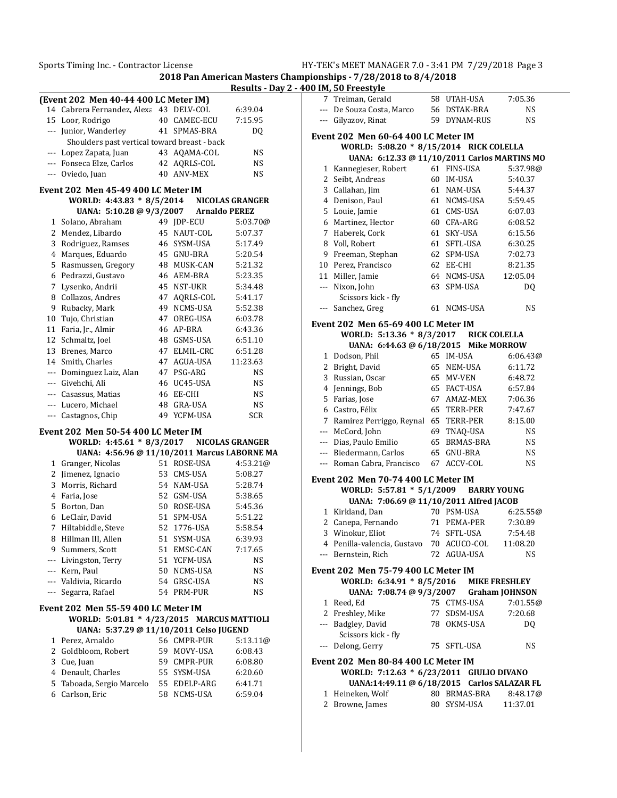**2018 Pan American Masters Championships - 7/28/2018 to 8/4/2018**

|          | (Event 202 Men 40-44 400 LC Meter IM)        |                           |                                                |              | 7 Treiman, Gerald                           | 58 UTAH-USA              | 7:05.36               |
|----------|----------------------------------------------|---------------------------|------------------------------------------------|--------------|---------------------------------------------|--------------------------|-----------------------|
|          | 14 Cabrera Fernandez, Alexa 43 DELV-COL      |                           | 6:39.04                                        |              | --- De Souza Costa, Marco                   | 56 DSTAK-BRA             | <b>NS</b>             |
|          | 15 Loor, Rodrigo                             | 40 CAMEC-ECU              | 7:15.95                                        |              | --- Gilyazov, Rinat                         | 59 DYNAM-RUS             | <b>NS</b>             |
|          | --- Junior, Wanderley                        | 41 SPMAS-BRA              | DQ                                             |              | Event 202 Men 60-64 400 LC Meter IM         |                          |                       |
|          | Shoulders past vertical toward breast - back |                           |                                                |              | WORLD: 5:08.20 * 8/15/2014 RICK COLELLA     |                          |                       |
|          | --- Lopez Zapata, Juan                       | 43 AQAMA-COL              | <b>NS</b>                                      |              | UANA: 6:12.33 @ 11/10/2011 Carlos MARTINS ! |                          |                       |
|          | --- Fonseca Elze, Carlos                     | 42 AQRLS-COL              | <b>NS</b>                                      |              | 1 Kannegieser, Robert                       | 61 FINS-USA              | 5:37.98               |
|          | --- Oviedo, Juan                             | 40 ANV-MEX                | NS                                             |              |                                             | 60 IM-USA                | 5:40.37               |
|          |                                              |                           |                                                |              | 2 Seibt, Andreas                            | 61 NAM-USA               | 5:44.37               |
|          | Event 202 Men 45-49 400 LC Meter IM          |                           |                                                |              | 3 Callahan, Jim                             | 61 NCMS-USA              |                       |
|          | WORLD: 4:43.83 * 8/5/2014                    |                           | <b>NICOLAS GRANGER</b><br><b>Arnaldo PEREZ</b> | 4            | Denison, Paul<br>5 Louie, Jamie             | 61 CMS-USA               | 5:59.45<br>6:07.03    |
|          | UANA: 5:10.28 @ 9/3/2007                     |                           |                                                |              |                                             |                          |                       |
|          | 1 Solano, Abraham                            | 49 JDP-ECU<br>45 NAUT-COL | 5:03.70@<br>5:07.37                            | 6<br>7       | Martinez, Hector<br>Haberek, Cork           | 60 CFA-ARG<br>61 SKY-USA | 6:08.52<br>6:15.56    |
|          | 2 Mendez, Libardo                            |                           |                                                |              |                                             |                          |                       |
|          | 3 Rodriguez, Ramses                          | 46 SYSM-USA               | 5:17.49                                        | 8            | Voll, Robert<br>Freeman, Stephan            | 61 SFTL-USA              | 6:30.25               |
|          | 4 Marques, Eduardo                           | 45 GNU-BRA                | 5:20.54                                        | 9            |                                             | 62 SPM-USA               | 7:02.73               |
|          | 5 Rasmussen, Gregory                         | 48 MUSK-CAN               | 5:21.32                                        | 10           | Perez, Francisco                            | 62 EE-CHI                | 8:21.35               |
|          | 6 Pedrazzi, Gustavo                          | 46 AEM-BRA                | 5:23.35                                        |              | 11 Miller, Jamie                            | 64 NCMS-USA              | 12:05.04              |
|          | 7 Lysenko, Andrii                            | 45 NST-UKR                | 5:34.48                                        |              | --- Nixon, John                             | 63 SPM-USA               | DQ                    |
|          | 8 Collazos, Andres                           | 47 AQRLS-COL              | 5:41.17                                        |              | Scissors kick - fly                         |                          |                       |
| 9        | Rubacky, Mark                                | 49 NCMS-USA               | 5:52.38                                        |              | --- Sanchez, Greg                           | 61 NCMS-USA              | <b>NS</b>             |
|          | 10 Tujo, Christian                           | 47 OREG-USA               | 6:03.78                                        |              | Event 202 Men 65-69 400 LC Meter IM         |                          |                       |
|          | 11 Faria, Jr., Almir                         | 46 AP-BRA                 | 6:43.36                                        |              | WORLD: 5:13.36 * 8/3/2017                   |                          | <b>RICK COLELLA</b>   |
|          | 12 Schmaltz, Joel                            | 48 GSMS-USA               | 6:51.10                                        |              | UANA: 6:44.63 @ 6/18/2015 Mike MORROW       |                          |                       |
|          | 13 Brenes, Marco                             | 47 ELMIL-CRC              | 6:51.28                                        |              | 1 Dodson, Phil                              | 65 IM-USA                | 6:06.43               |
|          | 14 Smith, Charles                            | 47 AGUA-USA               | 11:23.63                                       | $\mathbf{2}$ | Bright, David                               | 65 NEM-USA               | 6:11.72               |
|          | Dominguez Laiz, Alan                         | 47 PSG-ARG                | NS                                             | 3            | Russian, Oscar                              | 65 MV-VEN                | 6:48.72               |
| ---      | Givehchi, Ali                                | 46 UC45-USA               | NS                                             | 4            | Jennings, Bob                               | 65 FACT-USA              | 6:57.84               |
| $\cdots$ | Casassus, Matias                             | 46 EE-CHI                 | NS                                             |              | 5 Farias, Jose                              | 67 AMAZ-MEX              | 7:06.36               |
| $---$    | Lucero, Michael                              | 48 GRA-USA                | <b>NS</b>                                      | 6            | Castro, Félix                               | 65 TERR-PER              | 7:47.67               |
|          | --- Castagnos, Chip                          | 49 YCFM-USA               | SCR                                            | 7            | Ramirez Perriggo, Reynal 65 TERR-PER        |                          | 8:15.00               |
|          | <b>Event 202 Men 50-54 400 LC Meter IM</b>   |                           |                                                | $---$        | McCord, John                                | 69 TNAQ-USA              | <b>NS</b>             |
|          | WORLD: 4:45.61 * 8/3/2017                    |                           | <b>NICOLAS GRANGER</b>                         | $\cdots$     | Dias, Paulo Emilio                          | 65 BRMAS-BRA             | NS                    |
|          | UANA: 4:56.96 @ 11/10/2011 Marcus LABORNE MA |                           |                                                | ---          | Biedermann, Carlos                          | 65 GNU-BRA               | <b>NS</b>             |
|          | 1 Granger, Nicolas                           | 51 ROSE-USA               | 4:53.21@                                       |              | --- Roman Cabra, Francisco                  | 67 ACCV-COL              | <b>NS</b>             |
|          | 2 Jimenez, Ignacio                           | 53 CMS-USA                | 5:08.27                                        |              |                                             |                          |                       |
|          | 3 Morris, Richard                            | 54 NAM-USA                | 5:28.74                                        |              | Event 202 Men 70-74 400 LC Meter IM         |                          |                       |
|          | 4 Faria, Jose                                | 52 GSM-USA                | 5:38.65                                        |              | WORLD: 5:57.81 * 5/1/2009                   |                          | <b>BARRY YOUNG</b>    |
|          | 5 Borton, Dan                                | 50 ROSE-USA               | 5:45.36                                        |              | UANA: 7:06.69 @ 11/10/2011 Alfred JACOB     |                          |                       |
|          | 6 LeClair, David                             | 51 SPM-USA                | 5:51.22                                        |              | 1 Kirkland, Dan                             | 70 PSM-USA               | 6:25.55               |
|          | 7 Hiltabiddle, Steve                         | 52 1776-USA               | 5:58.54                                        |              | 2 Canepa, Fernando                          | 71 PEMA-PER              | 7:30.89               |
|          | 8 Hillman III, Allen                         | 51 SYSM-USA               | 6:39.93                                        |              | 3 Winokur, Eliot                            | 74 SFTL-USA              | 7:54.48               |
| 9.       | Summers, Scott                               | 51 EMSC-CAN               | 7:17.65                                        |              | 4 Penilla-valencia, Gustavo 70 ACUCO-COL    |                          | 11:08.20              |
|          | --- Livingston, Terry                        | 51 YCFM-USA               | NS                                             |              | --- Bernstein, Rich                         | 72 AGUA-USA              | <b>NS</b>             |
|          | --- Kern, Paul                               | 50 NCMS-USA               | <b>NS</b>                                      |              | Event 202 Men 75-79 400 LC Meter IM         |                          |                       |
|          | --- Valdivia, Ricardo                        | 54 GRSC-USA               | <b>NS</b>                                      |              | WORLD: 6:34.91 * 8/5/2016                   |                          | <b>MIKE FRESHLEY</b>  |
| $---$    | Segarra, Rafael                              | 54 PRM-PUR                | <b>NS</b>                                      |              | UANA: 7:08.74 @ 9/3/2007                    |                          | <b>Graham JOHNSON</b> |
|          |                                              |                           |                                                |              | 1 Reed, Ed                                  | 75 CTMS-USA              | 7:01.55               |
|          | Event 202 Men 55-59 400 LC Meter IM          |                           |                                                |              | 2 Freshley, Mike                            | 77 SDSM-USA              | 7:20.68               |
|          | WORLD: 5:01.81 * 4/23/2015 MARCUS MATTIOLI   |                           |                                                |              | --- Badgley, David                          | 78 OKMS-USA              | DQ                    |
|          | UANA: 5:37.29 @ 11/10/2011 Celso JUGEND      |                           |                                                |              | Scissors kick - fly                         |                          |                       |
|          | 1 Perez, Arnaldo                             | 56 CMPR-PUR               | 5:13.11@                                       |              | --- Delong, Gerry                           | 75 SFTL-USA              | <b>NS</b>             |
|          | 2 Goldbloom, Robert                          | 59 MOVY-USA               | 6:08.43                                        |              |                                             |                          |                       |
|          | 3 Cue, Juan                                  | 59 CMPR-PUR               | 6:08.80                                        |              | Event 202 Men 80-84 400 LC Meter IM         |                          |                       |
|          | 4 Denault, Charles                           | 55 SYSM-USA               | 6:20.60                                        |              | WORLD: 7:12.63 * 6/23/2011 GIULIO DIVANO    |                          |                       |
|          | 5 Taboada, Sergio Marcelo                    | 55 EDELP-ARG              | 6:41.71                                        |              | UANA:14:49.11 @ 6/18/2015 Carlos SALAZAR I  |                          |                       |
|          | 6 Carlson, Eric                              | 58 NCMS-USA               | 6:59.04                                        |              | 1 Heineken, Wolf                            | 80 BRMAS-BRA             | 8:48.17               |
|          |                                              |                           |                                                |              | 2 Browne, James                             | 80 SYSM-USA              | 11:37.01              |

|                                        | an Masters Championships - 7/28/2018 to 8/4/2018:                               |                             |                       |
|----------------------------------------|---------------------------------------------------------------------------------|-----------------------------|-----------------------|
| Results - Day 2 - 400 IM, 50 Freestyle |                                                                                 |                             |                       |
|                                        | 7 Treiman, Gerald                                                               | 58 UTAH-USA                 | 7:05.36               |
| 6:39.04                                | --- De Souza Costa, Marco                                                       | 56 DSTAK-BRA                | NS                    |
| 7:15.95                                | --- Gilyazov, Rinat                                                             | 59 DYNAM-RUS                | NS                    |
| DQ                                     | <b>Event 202 Men 60-64 400 LC Meter IM</b>                                      |                             |                       |
|                                        | WORLD: 5:08.20 * 8/15/2014 RICK COLELLA                                         |                             |                       |
| NS                                     | UANA: 6:12.33 @ 11/10/2011 Carlos MARTINS MO                                    |                             |                       |
| NS                                     | 1 Kannegieser, Robert                                                           | 61 FINS-USA                 | 5:37.98@              |
| NS                                     | 2 Seibt, Andreas                                                                | 60 IM-USA                   | 5:40.37               |
|                                        | 3 Callahan, Jim                                                                 | 61 NAM-USA                  | 5:44.37               |
| <b>GRANGER</b>                         | 4 Denison, Paul                                                                 | 61 NCMS-USA                 | 5:59.45               |
| PEREZ                                  | 5 Louie, Jamie                                                                  | 61 CMS-USA                  | 6:07.03               |
| 5:03.70@                               | 6 Martinez, Hector                                                              | 60 CFA-ARG                  | 6:08.52               |
| 5:07.37                                | 7 Haberek, Cork                                                                 | 61 SKY-USA                  | 6:15.56               |
| 5:17.49                                | 8 Voll, Robert                                                                  | 61 SFTL-USA                 | 6:30.25               |
| 5:20.54                                | 9 Freeman, Stephan                                                              | 62 SPM-USA                  | 7:02.73               |
| 5:21.32                                | 10 Perez, Francisco                                                             | 62 EE-CHI                   | 8:21.35               |
| 5:23.35                                | 11 Miller, Jamie                                                                | 64 NCMS-USA                 | 12:05.04              |
| 5:34.48                                | --- Nixon, John                                                                 | 63 SPM-USA                  | DQ                    |
| 5:41.17                                | Scissors kick - fly                                                             |                             |                       |
| 5:52.38                                | --- Sanchez, Greg                                                               | 61 NCMS-USA                 | <b>NS</b>             |
| 6:03.78                                |                                                                                 |                             |                       |
| 6:43.36                                | Event 202 Men 65-69 400 LC Meter IM                                             |                             |                       |
| 6:51.10                                | WORLD: 5:13.36 * 8/3/2017 RICK COLELLA                                          |                             |                       |
| 6:51.28                                | UANA: 6:44.63 @ 6/18/2015 Mike MORROW                                           |                             |                       |
| 11:23.63                               | 1 Dodson, Phil                                                                  | 65 IM-USA                   | 6:06.43@              |
| NS                                     | 2 Bright, David                                                                 | 65 NEM-USA                  | 6:11.72               |
| NS                                     | 3 Russian, Oscar                                                                | 65 MV-VEN                   | 6:48.72               |
| NS                                     | 4 Jennings, Bob                                                                 | 65 FACT-USA                 | 6:57.84               |
| NS                                     | 5 Farias, Jose                                                                  | 67 AMAZ-MEX<br>65 TERR-PER  | 7:06.36               |
| <b>SCR</b>                             | 6 Castro, Félix<br>7 Ramirez Perriggo, Reynal 65 TERR-PER                       |                             | 7:47.67               |
|                                        | --- McCord, John                                                                |                             | 8:15.00               |
| <b>GRANGER</b>                         | --- Dias, Paulo Emilio                                                          | 69 TNAQ-USA<br>65 BRMAS-BRA | NS<br>NS              |
| ABORNE MA                              | --- Biedermann, Carlos                                                          | 65 GNU-BRA                  | NS                    |
| 4:53.21@                               | --- Roman Cabra, Francisco                                                      | 67 ACCV-COL                 | <b>NS</b>             |
| 5:08.27                                |                                                                                 |                             |                       |
| 5:28.74                                | Event 202 Men 70-74 400 LC Meter IM                                             |                             |                       |
| 5:38.65                                | WORLD: 5:57.81 * 5/1/2009 BARRY YOUNG                                           |                             |                       |
| 5:45.36                                | UANA: 7:06.69 @ 11/10/2011 Alfred JACOB                                         |                             |                       |
| 5:51.22                                | 1 Kirkland, Dan                                                                 | 70 PSM-USA                  | 6:25.55@              |
| 5:58.54                                | 2 Canepa, Fernando                                                              | 71 PEMA-PER                 | 7:30.89               |
| 6:39.93                                | 3 Winokur, Eliot                                                                | 74 SFTL-USA                 | 7:54.48               |
| 7:17.65                                | 4 Penilla-valencia, Gustavo 70 ACUCO-COL                                        |                             | 11:08.20              |
| NS                                     | --- Bernstein, Rich                                                             | 72 AGUA-USA                 | NS                    |
| NS                                     | Event 202 Men 75-79 400 LC Meter IM                                             |                             |                       |
| NS                                     | WORLD: 6:34.91 * 8/5/2016                                                       |                             | <b>MIKE FRESHLEY</b>  |
| NS                                     | UANA: 7:08.74 @ 9/3/2007                                                        |                             | <b>Graham JOHNSON</b> |
|                                        | 1 Reed, Ed                                                                      | 75 CTMS-USA                 | 7:01.55@              |
|                                        | 2 Freshley, Mike                                                                | 77 SDSM-USA                 | 7:20.68               |
| <b>MATTIOLI</b>                        | --- Badgley, David                                                              | 78 OKMS-USA                 | DQ                    |
| <b>END</b>                             | Scissors kick - fly                                                             |                             |                       |
| 5:13.11@                               | --- Delong, Gerry                                                               | 75 SFTL-USA                 | NS                    |
| 6:08.43                                |                                                                                 |                             |                       |
| 6:08.80<br>6:20.60                     | Event 202 Men 80-84 400 LC Meter IM<br>WORLD: 7:12.63 * 6/23/2011 GIULIO DIVANO |                             |                       |
| 6:41.71                                | UANA:14:49.11 @ 6/18/2015 Carlos SALAZAR FL                                     |                             |                       |
| 6:59.04                                | 1 Heineken, Wolf                                                                | 80 BRMAS-BRA                | 8:48.17@              |
|                                        | 2 Browne, James                                                                 | 80 SYSM-USA                 | 11:37.01              |
|                                        |                                                                                 |                             |                       |
|                                        |                                                                                 |                             |                       |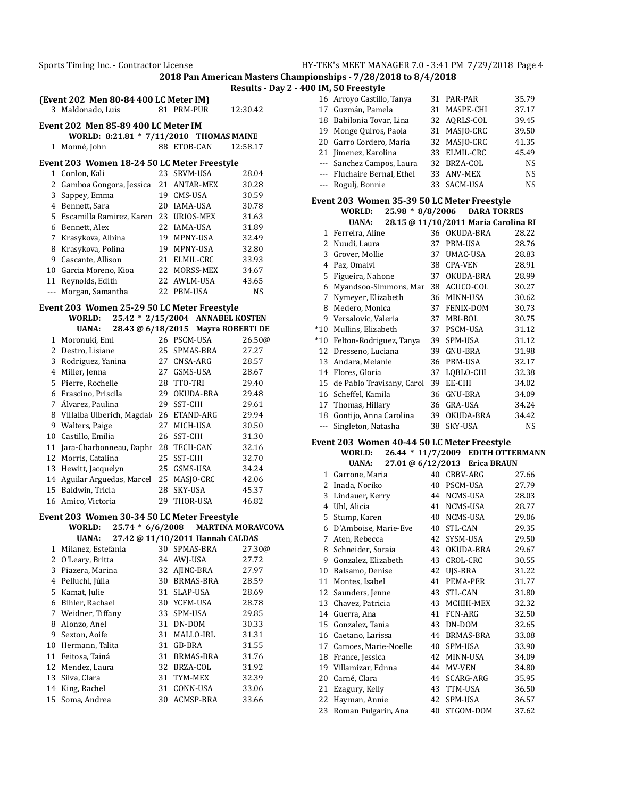|              | (Event 202 Men 80-84 400 LC Meter IM)       |    |                                    |                          |    | 16 Arroyo Castillo, Tanya                   |    | 31 PAR-PAR                           | 35.79          |
|--------------|---------------------------------------------|----|------------------------------------|--------------------------|----|---------------------------------------------|----|--------------------------------------|----------------|
|              | 3 Maldonado, Luis                           |    | 81 PRM-PUR                         | 12:30.42                 |    | 17 Guzmán, Pamela                           |    | 31 MASPE-CHI                         | 37.17          |
|              |                                             |    |                                    |                          |    | 18 Babilonia Tovar, Lina                    |    | 32 AQRLS-COL                         | 39.45          |
|              | Event 202 Men 85-89 400 LC Meter IM         |    |                                    |                          | 19 | Monge Quiros, Paola                         |    | 31 MASJO-CRC                         | 39.50          |
|              | WORLD: 8:21.81 * 7/11/2010 THOMAS MAINE     |    |                                    |                          |    | 20 Garro Cordero, Maria                     |    | 32 MASJO-CRC                         | 41.35          |
|              | 1 Monné, John                               |    | 88 ETOB-CAN                        | 12:58.17                 |    | 21 Jimenez, Karolina                        |    | 33 ELMIL-CRC                         | 45.49          |
|              | Event 203 Women 18-24 50 LC Meter Freestyle |    |                                    |                          |    | --- Sanchez Campos, Laura                   |    | 32 BRZA-COL                          | <b>NS</b>      |
|              | 1 Conlon, Kali                              |    | 23 SRVM-USA                        | 28.04                    |    | --- Fluchaire Bernal, Ethel                 |    | 33 ANV-MEX                           | <b>NS</b>      |
|              | 2 Gamboa Gongora, Jessica 21 ANTAR-MEX      |    |                                    | 30.28                    |    | --- Rogulj, Bonnie                          |    | 33 SACM-USA                          | <b>NS</b>      |
|              | 3 Sappey, Emma                              |    | 19 CMS-USA                         | 30.59                    |    |                                             |    |                                      |                |
|              | 4 Bennett, Sara                             |    | 20 IAMA-USA                        | 30.78                    |    | Event 203 Women 35-39 50 LC Meter Freestyle |    |                                      |                |
| 5.           | Escamilla Ramirez, Karen 23 URIOS-MEX       |    |                                    | 31.63                    |    | WORLD:<br>$25.98 * 8/8/2006$                |    | <b>DARA TORRES</b>                   |                |
|              | 6 Bennett, Alex                             |    | 22 IAMA-USA                        | 31.89                    |    | <b>UANA:</b>                                |    | 28.15 @ 11/10/2011 Maria Carolina RI |                |
|              | 7 Krasykova, Albina                         |    | 19 MPNY-USA                        | 32.49                    |    | 1 Ferreira, Aline                           |    | 36 OKUDA-BRA                         | 28.22          |
| 8            | Krasykova, Polina                           |    | 19 MPNY-USA                        | 32.80                    |    | 2 Nuudi, Laura                              |    | 37 PBM-USA                           | 28.76          |
| 9            | Cascante, Allison                           |    | 21 ELMIL-CRC                       | 33.93                    | 3  | Grover, Mollie                              |    | 37 UMAC-USA                          | 28.83          |
| 10           | Garcia Moreno, Kioa                         |    | 22 MORSS-MEX                       | 34.67                    | 4  | Paz, Omaivi                                 |    | 38 CPA-VEN                           | 28.91          |
| 11           | Reynolds, Edith                             |    | 22 AWLM-USA                        | 43.65                    | 5  | Figueira, Nahone                            |    | 37 OKUDA-BRA                         | 28.99          |
|              | --- Morgan, Samantha                        |    | 22 PBM-USA                         | <b>NS</b>                | 6  | Myandsoo-Simmons, Mar 38 ACUCO-COL          |    |                                      | 30.27          |
|              |                                             |    |                                    |                          | 7  | Nymeyer, Elizabeth                          |    | 36 MINN-USA                          | 30.62          |
|              | Event 203 Women 25-29 50 LC Meter Freestyle |    |                                    |                          | 8  | Medero, Monica                              |    | 37 FENIX-DOM                         | 30.73          |
|              | WORLD:                                      |    | 25.42 * 2/15/2004 ANNABEL KOSTEN   |                          |    | 9 Versalovic, Valeria                       |    | 37 MBI-BOL                           | 30.75          |
|              | <b>UANA:</b>                                |    | 28.43 @ 6/18/2015 Mayra ROBERTI DE |                          |    | *10 Mullins, Elizabeth                      |    | 37 PSCM-USA                          | 31.12          |
|              | 1 Moronuki, Emi                             |    | 26 PSCM-USA                        | 26.50@                   |    | *10 Felton-Rodriguez, Tanya                 |    | 39 SPM-USA                           | 31.12          |
|              | 2 Destro, Lisiane                           |    | 25 SPMAS-BRA                       | 27.27                    |    | 12 Dresseno, Luciana                        |    | 39 GNU-BRA                           | 31.98          |
|              | 3 Rodriguez, Yanina                         |    | 27 CNSA-ARG                        | 28.57                    |    | 13 Andara, Melanie                          |    | 36 PBM-USA                           | 32.17          |
|              | 4 Miller, Jenna                             |    | 27 GSMS-USA                        | 28.67                    |    | 14 Flores, Gloria                           |    | 37 LQBLO-CHI                         | 32.38          |
|              | 5 Pierre, Rochelle                          |    | 28 TTO-TRI                         | 29.40                    |    | 15 de Pablo Travisany, Carol 39 EE-CHI      |    |                                      | 34.02          |
|              | 6 Frascino, Priscila                        |    | 29 OKUDA-BRA                       | 29.48                    |    | 16 Scheffel, Kamila                         |    | 36 GNU-BRA                           | 34.09          |
|              | 7 Álvarez, Paulina                          |    | 29 SST-CHI                         | 29.61                    |    | 17 Thomas, Hillary                          |    | 36 GRA-USA                           | 34.24          |
|              | 8 Villalba Ulberich, Magdal 26 ETAND-ARG    |    |                                    | 29.94                    |    | 18 Gontijo, Anna Carolina                   |    | 39 OKUDA-BRA                         | 34.42          |
|              | 9 Walters, Paige                            |    | 27 MICH-USA                        | 30.50                    |    | --- Singleton, Natasha                      |    | 38 SKY-USA                           | <b>NS</b>      |
| 10           | Castillo, Emilia                            |    | 26 SST-CHI                         | 31.30                    |    | Event 203 Women 40-44 50 LC Meter Freestyle |    |                                      |                |
|              | 11 Jara-Charbonneau, Daphı 28 TECH-CAN      |    |                                    | 32.16                    |    | WORLD:                                      |    | 26.44 * 11/7/2009 EDITH OTTERMANN    |                |
|              | 12 Morris, Catalina                         |    | 25 SST-CHI                         | 32.70                    |    | <b>UANA:</b>                                |    | 27.01 @ 6/12/2013 Erica BRAUN        |                |
|              | 13 Hewitt, Jacquelyn                        |    | 25 GSMS-USA                        | 34.24                    |    | 1 Garrone, Maria                            |    | 40 CBBV-ARG                          | 27.66          |
|              |                                             |    |                                    | 42.06                    |    |                                             |    |                                      |                |
|              | 14 Aguilar Arguedas, Marcel 25 MASJO-CRC    |    |                                    |                          |    |                                             |    |                                      |                |
|              | 15 Baldwin, Tricia                          |    | 28 SKY-USA                         | 45.37                    |    | 2 Inada, Noriko                             |    | 40 PSCM-USA<br>44 NCMS-USA           | 27.79          |
|              | 16 Amico, Victoria                          |    | 29 THOR-USA                        | 46.82                    |    | 3 Lindauer, Kerry<br>4 Uhl, Alicia          |    |                                      | 28.03          |
|              |                                             |    |                                    |                          |    |                                             |    | 41 NCMS-USA                          | 28.77          |
|              | Event 203 Women 30-34 50 LC Meter Freestyle |    |                                    |                          | 5  | Stump, Karen                                |    | 40 NCMS-USA                          | 29.06          |
|              | WORLD:<br>$25.74 * 6/6/2008$                |    |                                    | <b>MARTINA MORAVCOVA</b> | 6  | D'Amboise, Marie-Eve                        |    | 40 STL-CAN                           | 29.35          |
|              | <b>UANA:</b>                                |    | 27.42 @ 11/10/2011 Hannah CALDAS   |                          |    | 7 Aten, Rebecca                             |    | 42 SYSM-USA                          | 29.50          |
| $\mathbf{1}$ | Milanez, Estefania                          | 30 | SPMAS-BRA                          | 27.30@                   |    | 8 Schneider, Soraia                         | 43 | OKUDA-BRA                            | 29.67          |
| 2            | O'Leary, Britta                             |    | 34 AWJ-USA                         | 27.72                    | 9  | Gonzalez, Elizabeth                         |    | 43 CROL-CRC                          | 30.55          |
|              | 3 Piazera, Marina                           | 32 | AJINC-BRA                          | 27.97                    | 10 | Balsamo, Denise                             |    | 42 UJS-BRA                           | 31.22          |
|              | 4 Pelluchi, Júlia                           | 30 | BRMAS-BRA                          | 28.59                    | 11 | Montes, Isabel                              |    | 41 PEMA-PER                          | 31.77          |
| 5.           | Kamat, Julie                                |    | 31 SLAP-USA                        | 28.69                    |    | 12 Saunders, Jenne                          |    | 43 STL-CAN                           | 31.80          |
| 6            | Bihler, Rachael                             |    | 30 YCFM-USA                        | 28.78                    | 13 | Chavez, Patricia                            |    | 43 MCHIH-MEX                         | 32.32          |
| 7            | Weidner, Tiffany                            | 33 | SPM-USA                            | 29.85                    |    | 14 Guerra, Ana                              | 41 | FCN-ARG                              | 32.50          |
| 8            | Alonzo, Anel                                | 31 | DN-DOM                             | 30.33                    | 15 | Gonzalez, Tania                             |    | 43 DN-DOM                            | 32.65          |
| 9            | Sexton, Aoife                               |    | 31 MALLO-IRL                       | 31.31                    |    | 16 Caetano, Larissa                         |    | 44 BRMAS-BRA                         | 33.08          |
| 10           | Hermann, Talita                             | 31 | GB-BRA                             | 31.55                    | 17 | Camoes, Marie-Noelle                        | 40 | SPM-USA                              | 33.90          |
| 11           | Feitosa, Tainá                              | 31 | <b>BRMAS-BRA</b>                   | 31.76                    | 18 | France, Jessica                             |    | 42 MINN-USA                          | 34.09          |
| 12           | Mendez, Laura                               | 32 | BRZA-COL                           | 31.92                    | 19 | Villamizar, Ednna                           | 44 | MV-VEN                               | 34.80          |
| 13           | Silva, Clara                                | 31 | TYM-MEX                            | 32.39                    | 20 | Carné, Clara                                | 44 | SCARG-ARG                            | 35.95          |
| 14           | King, Rachel                                |    | 31 CONN-USA                        | 33.06                    | 21 | Ezagury, Kelly                              |    | 43 TTM-USA                           | 36.50          |
|              | 15 Soma, Andrea                             |    | 30 ACMSP-BRA                       | 33.66                    | 22 | Hayman, Annie<br>23 Roman Pulgarin, Ana     |    | 42 SPM-USA<br>40 STGOM-DOM           | 36.57<br>37.62 |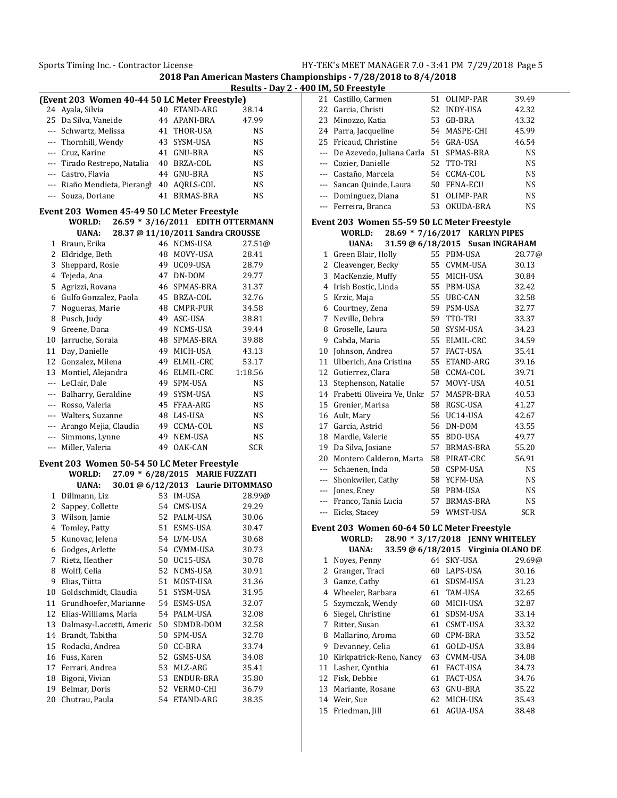|                          | (Event 203 Women 40-44 50 LC Meter Freestyle) |    |                                    |            |                      | 21 Castillo, Carmen                         |                                    | 51 OLIMP-PAR |              | 39.49      |
|--------------------------|-----------------------------------------------|----|------------------------------------|------------|----------------------|---------------------------------------------|------------------------------------|--------------|--------------|------------|
|                          | 24 Ayala, Silvia                              |    | 40 ETAND-ARG                       | 38.14      |                      | 22 Garcia, Christi                          |                                    | 52 INDY-USA  |              | 42.32      |
|                          | 25 Da Silva, Vaneide                          |    | 44 APANI-BRA                       | 47.99      |                      | 23 Minozzo, Katia                           |                                    | 53 GB-BRA    |              | 43.32      |
|                          | Schwartz, Melissa                             |    | 41 THOR-USA                        | NS         |                      | 24 Parra, Jacqueline                        |                                    | 54 MASPE-CHI |              | 45.99      |
| ---                      | Thornhill, Wendy                              |    | 43 SYSM-USA                        | <b>NS</b>  |                      | 25 Fricaud, Christine                       |                                    | 54 GRA-USA   |              | 46.54      |
| ---                      | Cruz, Karine                                  |    | 41 GNU-BRA                         | NS         | $\scriptstyle\cdots$ | De Azevedo, Juliana Carla 51 SPMAS-BRA      |                                    |              |              | <b>NS</b>  |
| $\cdots$                 | Tirado Restrepo, Natalia                      |    | 40 BRZA-COL                        | NS         | $\scriptstyle\cdots$ | Cozier, Danielle                            |                                    | 52 TTO-TRI   |              | <b>NS</b>  |
|                          | Castro, Flavia                                |    | 44 GNU-BRA                         | NS         | $---$                | Castaño, Marcela                            |                                    | 54 CCMA-COL  |              | <b>NS</b>  |
|                          | Riaño Mendieta, Pierangl                      |    | 40 AQRLS-COL                       | <b>NS</b>  |                      | Sancan Quinde, Laura                        |                                    | 50 FENA-ECU  |              | <b>NS</b>  |
| $\scriptstyle\cdots$     | Souza, Doriane                                |    | 41 BRMAS-BRA                       | <b>NS</b>  |                      | Dominguez, Diana                            |                                    | 51 OLIMP-PAR |              | <b>NS</b>  |
|                          |                                               |    |                                    |            | $\scriptstyle\cdots$ | Ferreira, Branca                            |                                    |              | 53 OKUDA-BRA | <b>NS</b>  |
|                          | Event 203 Women 45-49 50 LC Meter Freestyle   |    |                                    |            |                      |                                             |                                    |              |              |            |
|                          | WORLD:                                        |    | 26.59 * 3/16/2011 EDITH OTTERMANN  |            |                      | Event 203 Women 55-59 50 LC Meter Freestyle |                                    |              |              |            |
|                          | <b>UANA:</b>                                  |    | 28.37 @ 11/10/2011 Sandra CROUSSE  |            |                      | WORLD:                                      | 28.69 * 7/16/2017 KARLYN PIPES     |              |              |            |
|                          | 1 Braun, Erika                                |    | 46 NCMS-USA                        | 27.51@     |                      | <b>UANA:</b>                                | 31.59 @ 6/18/2015 Susan INGRAHAM   |              |              |            |
|                          | 2 Eldridge, Beth                              |    | 48 MOVY-USA                        | 28.41      |                      | 1 Green Blair, Holly                        |                                    | 55 PBM-USA   |              | 28.77      |
| 3                        | Sheppard, Rosie                               |    | 49 UC09-USA                        | 28.79      | $\mathbf{2}$         | Cleavenger, Becky                           |                                    | 55 CVMM-USA  |              | 30.13      |
|                          | 4 Tejeda, Ana                                 |    | 47 DN-DOM                          | 29.77      | 3                    | MacKenzie, Muffy                            |                                    | 55 MICH-USA  |              | 30.84      |
|                          | 5 Agrizzi, Rovana                             |    | 46 SPMAS-BRA                       | 31.37      |                      | 4 Irish Bostic, Linda                       |                                    | 55 PBM-USA   |              | 32.42      |
|                          | 6 Gulfo Gonzalez, Paola                       |    | 45 BRZA-COL                        | 32.76      | 5                    | Krzic, Maja                                 |                                    | 55 UBC-CAN   |              | 32.58      |
|                          | 7 Nogueras, Marie                             |    | 48 CMPR-PUR                        | 34.58      | 6                    | Courtney, Zena                              |                                    | 59 PSM-USA   |              | 32.77      |
|                          | 8 Pusch, Judy                                 |    | 49 ASC-USA                         | 38.81      | 7                    | Neville, Debra                              |                                    | 59 TTO-TRI   |              | 33.37      |
| 9                        | Greene, Dana                                  |    | 49 NCMS-USA                        | 39.44      | 8                    | Groselle, Laura                             |                                    | 58 SYSM-USA  |              | 34.23      |
| 10                       | Jarruche, Soraia                              |    | 48 SPMAS-BRA                       | 39.88      | 9                    | Cabda, Maria                                |                                    | 55 ELMIL-CRC |              | 34.59      |
| 11                       | Day, Danielle                                 |    | 49 MICH-USA                        | 43.13      | 10                   | Johnson, Andrea                             |                                    | 57 FACT-USA  |              | 35.41      |
|                          | 12 Gonzalez, Milena                           |    | 49 ELMIL-CRC                       | 53.17      |                      | 11 Ulberich, Ana Cristina                   |                                    |              | 55 ETAND-ARG | 39.16      |
|                          | 13 Montiel, Alejandra                         |    | 46 ELMIL-CRC                       | 1:18.56    |                      | 12 Gutierrez, Clara                         |                                    | 58 CCMA-COL  |              | 39.71      |
| $\cdots$                 | LeClair, Dale                                 |    | 49 SPM-USA                         | <b>NS</b>  |                      | 13 Stephenson, Natalie                      |                                    | 57 MOVY-USA  |              | 40.51      |
| $\cdots$                 | Balharry, Geraldine                           |    | 49 SYSM-USA                        | <b>NS</b>  |                      | 14 Frabetti Oliveira Ve, Unkr. 57 MASPR-BRA |                                    |              |              | 40.53      |
| $\cdots$                 | Rosso, Valeria                                |    | 45 FFAA-ARG                        | <b>NS</b>  |                      | 15 Grenier, Marisa                          |                                    | 58 RGSC-USA  |              | 41.27      |
|                          | Walters, Suzanne                              |    | 48 L4S-USA                         | NS         |                      | 16 Ault, Mary                               |                                    | 56 UC14-USA  |              | 42.67      |
|                          | Arango Mejia, Claudia                         |    | 49 CCMA-COL                        | <b>NS</b>  | 17                   | Garcia, Astrid                              |                                    | 56 DN-DOM    |              | 43.55      |
| $\hspace{0.05cm} \ldots$ | Simmons, Lynne                                |    | 49 NEM-USA                         | NS         | 18                   | Mardle, Valerie                             |                                    | 55 BDO-USA   |              | 49.77      |
|                          | --- Miller, Valeria                           |    | 49 OAK-CAN                         | <b>SCR</b> | 19                   | Da Silva, Josiane                           |                                    |              | 57 BRMAS-BRA | 55.20      |
|                          | Event 203 Women 50-54 50 LC Meter Freestyle   |    |                                    |            | 20                   | Montero Calderon, Marta 58 PIRAT-CRC        |                                    |              |              | 56.91      |
|                          | WORLD:                                        |    | 27.09 * 6/28/2015 MARIE FUZZATI    |            | $\cdots$             | Schaenen, Inda                              |                                    | 58 CSPM-USA  |              | <b>NS</b>  |
|                          | <b>UANA:</b>                                  |    | 30.01 @ 6/12/2013 Laurie DITOMMASO |            | $\scriptstyle\cdots$ | Shonkwiler, Cathy                           |                                    | 58 YCFM-USA  |              | <b>NS</b>  |
|                          | 1 Dillmann, Liz                               |    | 53 IM-USA                          | 28.99@     | $\cdots$             | Jones, Eney                                 |                                    | 58 PBM-USA   |              | <b>NS</b>  |
| 2                        | Sappey, Collette                              |    | 54 CMS-USA                         | 29.29      | $\cdots$             | Franco, Tania Lucia                         |                                    |              | 57 BRMAS-BRA | <b>NS</b>  |
|                          | 3 Wilson, Jamie                               |    | 52 PALM-USA                        | 30.06      | $\cdots$             | Eicks, Stacey                               |                                    | 59 WMST-USA  |              | <b>SCR</b> |
| 4                        | Tomley, Patty                                 |    | 51 ESMS-USA                        | 30.47      |                      | Event 203 Women 60-64 50 LC Meter Freestyle |                                    |              |              |            |
|                          | 5 Kunovac, Jelena                             |    | 54 LVM-USA                         | 30.68      |                      | WORLD:                                      | 28.90 * 3/17/2018 JENNY WHITELEY   |              |              |            |
|                          | 6 Godges, Arlette                             |    | 54 CVMM-USA                        | 30.73      |                      | <b>UANA:</b>                                | 33.59 @ 6/18/2015 Virginia OLANO D |              |              |            |
|                          | 7 Rietz, Heather                              |    | 50 UC15-USA                        | 30.78      |                      | 1 Noyes, Penny                              |                                    | 64 SKY-USA   |              | 29.69      |
| 8                        | Wolff, Celia                                  |    | 52 NCMS-USA                        | 30.91      | 2                    | Granger, Traci                              |                                    | 60 LAPS-USA  |              | 30.16      |
| 9                        | Elias, Tiitta                                 | 51 | MOST-USA                           | 31.36      | 3                    | Ganze, Cathy                                |                                    | 61 SDSM-USA  |              | 31.23      |
| 10                       | Goldschmidt, Claudia                          |    | 51 SYSM-USA                        | 31.95      | 4                    | Wheeler, Barbara                            |                                    | 61 TAM-USA   |              | 32.65      |
| 11                       | Grundhoefer, Marianne                         |    | 54 ESMS-USA                        | 32.07      | 5                    | Szymczak, Wendy                             |                                    | 60 MICH-USA  |              | 32.87      |
|                          | 12 Elias-Williams, Maria                      |    | 54 PALM-USA                        | 32.08      | 6                    | Siegel, Christine                           |                                    | 61 SDSM-USA  |              | 33.14      |
|                          |                                               |    |                                    |            |                      | Ritter, Susan                               |                                    | 61 CSMT-USA  |              | 33.32      |
| 13                       | Dalmasy-Laccetti, Americ                      | 50 | SDMDR-DOM                          | 32.58      | 7                    |                                             |                                    | 60 CPM-BRA   |              | 33.52      |
| 14                       | Brandt, Tabitha                               |    | 50 SPM-USA                         | 32.78      | 8                    | Mallarino, Aroma                            |                                    |              |              |            |
| 15                       | Rodacki, Andrea                               |    | 50 CC-BRA                          | 33.74      | 9                    | Devanney, Celia                             |                                    | 61 GOLD-USA  |              | 33.84      |
|                          | 16 Fuss, Karen                                |    | 52 GSMS-USA                        | 34.08      | 10                   | Kirkpatrick-Reno, Nancy                     |                                    | 63 CVMM-USA  |              | 34.08      |
| 17                       | Ferrari, Andrea                               |    | 53 MLZ-ARG                         | 35.41      | 11                   | Lasher, Cynthia                             |                                    | 61 FACT-USA  |              | 34.73      |
| 18                       | Bigoni, Vivian                                | 53 | ENDUR-BRA                          | 35.80      | 12                   | Fisk, Debbie                                |                                    | 61 FACT-USA  |              | 34.76      |
| 19<br>20                 | Belmar, Doris<br>Chutrau, Paula               |    | 52 VERMO-CHI                       | 36.79      | 13                   | Mariante, Rosane                            |                                    | 63 GNU-BRA   |              | 35.22      |
|                          |                                               |    | 54 ETAND-ARG                       | 38.35      |                      | 14 Weir, Sue                                |                                    | 62 MICH-USA  |              | 35.43      |

| . .            | Gastino, Garmen                             | ັ  | OPHONE TIME                                                        |            |
|----------------|---------------------------------------------|----|--------------------------------------------------------------------|------------|
|                | 22 Garcia, Christi                          |    | 52 INDY-USA                                                        | 42.32      |
|                | 23 Minozzo, Katia                           |    | 53 GB-BRA                                                          | 43.32      |
|                | 24 Parra, Jacqueline                        |    | 54 MASPE-CHI                                                       | 45.99      |
| 25             | Fricaud, Christine                          |    | 54 GRA-USA                                                         | 46.54      |
|                | --- De Azevedo, Juliana Carla 51 SPMAS-BRA  |    |                                                                    | NS         |
|                | --- Cozier, Danielle                        |    | 52 TTO-TRI                                                         | <b>NS</b>  |
|                | --- Castaño, Marcela                        |    | 54 CCMA-COL                                                        | <b>NS</b>  |
|                | --- Sancan Quinde, Laura                    |    | 50 FENA-ECU                                                        | NS         |
|                | --- Dominguez, Diana                        | 51 | OLIMP-PAR                                                          | <b>NS</b>  |
|                | --- Ferreira, Branca                        |    | 53 OKUDA-BRA                                                       | NS         |
|                |                                             |    |                                                                    |            |
|                | Event 203 Women 55-59 50 LC Meter Freestyle |    |                                                                    |            |
|                | <b>WORLD:</b>                               |    | 28.69 * 7/16/2017 KARLYN PIPES<br>31.59 @ 6/18/2015 Susan INGRAHAM |            |
|                | UANA:                                       |    |                                                                    |            |
|                | 1 Green Blair, Holly                        |    | 55 PBM-USA                                                         | 28.77@     |
|                | 2 Cleavenger, Becky                         |    | 55 CVMM-USA                                                        | 30.13      |
|                | 3 MacKenzie, Muffy                          |    | 55 MICH-USA                                                        | 30.84      |
|                | 4 Irish Bostic, Linda                       |    | 55 PBM-USA                                                         | 32.42      |
|                | 5 Krzic, Maja                               |    | 55 UBC-CAN                                                         | 32.58      |
|                | 6 Courtney, Zena                            |    | 59 PSM-USA                                                         | 32.77      |
|                | 7 Neville, Debra                            |    | 59 TTO-TRI                                                         | 33.37      |
|                | 8 Groselle, Laura                           |    | 58 SYSM-USA                                                        | 34.23      |
| 9              | Cabda, Maria                                |    | 55 ELMIL-CRC                                                       | 34.59      |
| 10             | Johnson, Andrea                             |    | 57 FACT-USA                                                        | 35.41      |
| 11             | Ulberich, Ana Cristina                      |    | 55 ETAND-ARG                                                       | 39.16      |
| 12             | Gutierrez, Clara                            |    | 58 CCMA-COL                                                        | 39.71      |
| 13             | Stephenson, Natalie                         |    | 57 MOVY-USA                                                        | 40.51      |
| 14             | Frabetti Oliveira Ve, Unkr 57 MASPR-BRA     |    |                                                                    | 40.53      |
| 15             | Grenier, Marisa                             |    | 58 RGSC-USA                                                        | 41.27      |
|                | 16 Ault, Mary                               |    | 56 UC14-USA                                                        | 42.67      |
|                | 17 Garcia, Astrid                           |    | 56 DN-DOM                                                          | 43.55      |
| 18             | Mardle, Valerie                             |    | 55 BDO-USA                                                         | 49.77      |
| 19             | Da Silva, Josiane                           |    | 57 BRMAS-BRA                                                       | 55.20      |
|                | 20 Montero Calderon, Marta                  |    | 58 PIRAT-CRC                                                       | 56.91      |
|                | --- Schaenen, Inda                          |    | 58 CSPM-USA                                                        | NS         |
|                | --- Shonkwiler, Cathy                       |    | 58 YCFM-USA                                                        | NS         |
|                | --- Jones, Eney                             |    | 58 PBM-USA                                                         | <b>NS</b>  |
|                | --- Franco, Tania Lucia                     |    | 57 BRMAS-BRA                                                       | <b>NS</b>  |
|                | --- Eicks, Stacey                           |    | 59 WMST-USA                                                        | <b>SCR</b> |
|                | Event 203 Women 60-64 50 LC Meter Freestyle |    |                                                                    |            |
|                | WORLD:                                      |    | 28.90 * 3/17/2018 JENNY WHITELEY                                   |            |
|                | <b>UANA:</b>                                |    | 33.59 @ 6/18/2015 Virginia OLANO DE                                |            |
| 1              | Noyes, Penny                                | 64 | SKY-USA                                                            | 29.69@     |
| $\overline{c}$ | Granger, Traci                              |    | 60 LAPS-USA                                                        | 30.16      |
| 3              | Ganze, Cathy                                | 61 | SDSM-USA                                                           | 31.23      |
| 4              | Wheeler, Barbara                            | 61 | TAM-USA                                                            | 32.65      |
| 5              | Szymczak, Wendy                             | 60 | MICH-USA                                                           | 32.87      |
| 6              | Siegel, Christine                           | 61 | SDSM-USA                                                           | 33.14      |
| 7              | Ritter, Susan                               | 61 | CSMT-USA                                                           | 33.32      |
| 8              | Mallarino, Aroma                            | 60 | CPM-BRA                                                            | 33.52      |
| 9              | Devanney, Celia                             | 61 | GOLD-USA                                                           | 33.84      |
| 10             | Kirkpatrick-Reno, Nancy                     | 63 | CVMM-USA                                                           | 34.08      |
| 11             | Lasher, Cynthia                             | 61 | FACT-USA                                                           | 34.73      |
| 12             | Fisk, Debbie                                | 61 | FACT-USA                                                           | 34.76      |
| 13             | Mariante, Rosane                            | 63 | GNU-BRA                                                            | 35.22      |
| 14             | Weir, Sue                                   | 62 | MICH-USA                                                           | 35.43      |
| 15             | Friedman, Jill                              | 61 | AGUA-USA                                                           | 38.48      |
|                |                                             |    |                                                                    |            |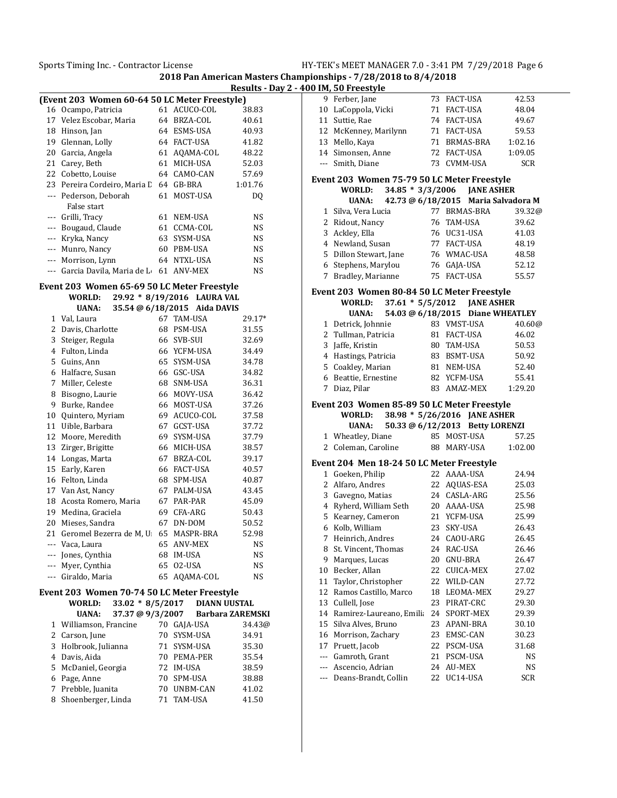**2018 Pan American Masters Championships - 7/28/2018 to 8/4/2018 Results - Day 2 - 400 IM, 50 Freestyle**

|       |                                               |    |                 | <b>Kesuits</b> - |
|-------|-----------------------------------------------|----|-----------------|------------------|
|       | (Event 203 Women 60-64 50 LC Meter Freestyle) |    |                 |                  |
|       | 16 Ocampo, Patricia                           | 61 | ACUCO-COL       | 38.83            |
| 17    | Velez Escobar, Maria                          | 64 | BRZA-COL        | 40.61            |
| 18    | Hinson, Jan                                   | 64 | ESMS-USA        | 40.93            |
| 19    | Glennan, Lolly                                | 64 | <b>FACT-USA</b> | 41.82            |
| 20    | Garcia, Angela                                | 61 | AQAMA-COL       | 48.22            |
| 21    | Carey, Beth                                   | 61 | MICH-USA        | 52.03            |
| 22    | Cobetto, Louise                               | 64 | CAMO-CAN        | 57.69            |
|       | 23 Pereira Cordeiro, Maria L                  | 64 | GB-BRA          | 1:01.76          |
| $---$ | Pederson, Deborah                             | 61 | MOST-USA        | DQ               |
|       | False start                                   |    |                 |                  |
| ---   | Grilli, Tracy                                 | 61 | NEM-USA         | NS               |
|       | Bougaud, Claude                               | 61 | CCMA-COL        | NS               |
|       | Kryka, Nancy                                  | 63 | SYSM-USA        | NS.              |
|       | Munro, Nancy                                  | 60 | PBM-USA         | NS               |
|       | Morrison, Lynn                                | 64 | NTXL-USA        | NS               |
|       | Garcia Davila, Maria de L                     | 61 | ANV-MEX         | NS               |
|       |                                               |    |                 |                  |

## **Event 203 Women 65-69 50 LC Meter Freestyle WORLD: 29.92 \* 8/19/2016 LAURA VAL**

|     | UANA:                                       |    | 35.54 @ 6/18/2015 Aida DAVIS |           |
|-----|---------------------------------------------|----|------------------------------|-----------|
| 1   | Val, Laura                                  | 67 | TAM-USA                      | 29.17*    |
| 2   | Davis, Charlotte                            | 68 | PSM-USA                      | 31.55     |
| 3   | Steiger, Regula                             | 66 | SVB-SUI                      | 32.69     |
| 4   | Fulton, Linda                               |    | 66 YCFM-USA                  | 34.49     |
| 5   | Guins, Ann                                  | 65 | SYSM-USA                     | 34.78     |
| 6   | Halfacre, Susan                             | 66 | GSC-USA                      | 34.82     |
| 7   | Miller, Celeste                             | 68 | SNM-USA                      | 36.31     |
| 8   | Bisogno, Laurie                             | 66 | MOVY-USA                     | 36.42     |
| 9   | Burke, Randee                               | 66 | MOST-USA                     | 37.26     |
| 10  | Quintero, Myriam                            | 69 | ACUCO-COL                    | 37.58     |
| 11  | Uible, Barbara                              | 67 | GCST-USA                     | 37.72     |
| 12  | Moore, Meredith                             | 69 | SYSM-USA                     | 37.79     |
| 13  | Zirger, Brigitte                            | 66 | MICH-USA                     | 38.57     |
| 14  | Longas, Marta                               | 67 | BRZA-COL                     | 39.17     |
| 15  | Early, Karen                                | 66 | <b>FACT-USA</b>              | 40.57     |
| 16  | Felton, Linda                               | 68 | SPM-USA                      | 40.87     |
| 17  | Van Ast, Nancy                              | 67 | PALM-USA                     | 43.45     |
| 18  | Acosta Romero, Maria                        | 67 | PAR-PAR                      | 45.09     |
| 19  | Medina, Graciela                            | 69 | CFA-ARG                      | 50.43     |
| 20  | Mieses, Sandra                              | 67 | DN-DOM                       | 50.52     |
| 21  | Geromel Bezerra de M, U                     | 65 | MASPR-BRA                    | 52.98     |
| --- | Vaca, Laura                                 | 65 | <b>ANV-MEX</b>               | NS        |
| --- | Jones, Cynthia                              | 68 | <b>IM-USA</b>                | <b>NS</b> |
| --- | Myer, Cynthia                               | 65 | 02-USA                       | NS        |
| --- | Giraldo, Maria                              | 65 | AQAMA-COL                    | <b>NS</b> |
|     | Event 203 Women 70-74 50 LC Meter Freestyle |    |                              |           |

| <b>WORLD:</b>                    |  | 33.02 * 8/5/2017 DIANN UUSTAL |                         |  |  |
|----------------------------------|--|-------------------------------|-------------------------|--|--|
| 37.37 @ 9/3/2007<br><b>UANA:</b> |  |                               | <b>Barbara ZAREMSKI</b> |  |  |
| 1 Williamson, Francine           |  | 70 GAJA-USA                   | 34.43@                  |  |  |
| 2 Carson, June                   |  | 70 SYSM-USA                   | 34.91                   |  |  |
| 3 Holbrook, Julianna             |  | 71 SYSM-USA                   | 35.30                   |  |  |
| 4 Davis, Aida                    |  | 70 PEMA-PER                   | 35.54                   |  |  |
| 5 McDaniel, Georgia              |  | 72 IM-USA                     | 38.59                   |  |  |
| 6 Page, Anne                     |  | 70 SPM-USA                    | 38.88                   |  |  |
| 7 Prebble, Juanita               |  | 70 UNBM-CAN                   | 41.02                   |  |  |
| 8 Shoenberger, Linda             |  | 71 TAM-USA                    | 41.50                   |  |  |
|                                  |  |                               |                         |  |  |

|       | <u>JU IM, JU FLEESLYIE</u>                  |    |                                     |            |
|-------|---------------------------------------------|----|-------------------------------------|------------|
|       | 9 Ferber, Jane                              | 73 | FACT-USA                            | 42.53      |
|       | 10 LaCoppola, Vicki                         | 71 | FACT-USA                            | 48.04      |
|       | 11 Suttie, Rae                              |    | 74 FACT-USA                         | 49.67      |
|       | 12 McKenney, Marilynn                       |    | 71 FACT-USA                         | 59.53      |
|       | 13 Mello, Kaya                              |    | 71 BRMAS-BRA                        | 1:02.16    |
|       | 14 Simonsen, Anne                           |    | 72 FACT-USA                         | 1:09.05    |
| $---$ | Smith, Diane                                | 73 | CVMM-USA                            | <b>SCR</b> |
|       | Event 203 Women 75-79 50 LC Meter Freestyle |    |                                     |            |
|       | <b>WORLD:</b>                               |    | 34.85 * 3/3/2006 JANE ASHER         |            |
|       | UANA:                                       |    | 42.73 @ 6/18/2015 Maria Salvadora M |            |
|       | 1 Silva, Vera Lucia                         |    | 77 BRMAS-BRA                        | 39.32@     |
|       | 2 Ridout, Nancy                             |    | 76 TAM-USA                          | 39.62      |
|       | 3 Ackley, Ella                              |    | 76 UC31-USA                         | 41.03      |
|       | 4 Newland, Susan                            |    | 77 FACT-USA                         | 48.19      |
|       | 5 Dillon Stewart, Jane                      |    | 76 WMAC-USA                         | 48.58      |
|       | 6 Stephens, Marylou                         |    | 76 GAJA-USA                         | 52.12      |
|       | 7 Bradley, Marianne                         |    | 75 FACT-USA                         | 55.57      |
|       |                                             |    |                                     |            |
|       | Event 203 Women 80-84 50 LC Meter Freestyle |    |                                     |            |
|       | WORLD:                                      |    | 37.61 * 5/5/2012 JANE ASHER         |            |
|       | UANA:                                       |    | 54.03 @ 6/18/2015 Diane WHEATLEY    |            |
|       | 1 Detrick, Johnnie                          |    | 83 VMST-USA                         | 40.60@     |
|       | 2 Tullman, Patricia                         |    | 81 FACT-USA                         | 46.02      |
|       | 3 Jaffe, Kristin                            |    | 80 TAM-USA                          | 50.53      |
|       | 4 Hastings, Patricia                        |    | 83 BSMT-USA                         | 50.92      |
|       | 5 Coakley, Marian                           |    | 81 NEM-USA                          | 52.40      |
|       | 6 Beattie, Ernestine                        |    | 82 YCFM-USA                         | 55.41      |
| 7     | Diaz, Pilar                                 |    | 83 AMAZ-MEX                         | 1:29.20    |
|       | Event 203 Women 85-89 50 LC Meter Freestyle |    |                                     |            |
|       | WORLD:                                      |    | 38.98 * 5/26/2016 JANE ASHER        |            |
|       | UANA:                                       |    | 50.33 @ 6/12/2013 Betty LORENZI     |            |
|       | 1 Wheatley, Diane                           |    | 85 MOST-USA                         | 57.25      |
|       | 2 Coleman, Caroline                         |    | 88 MARY-USA                         | 1:02.00    |
|       | Event 204 Men 18-24 50 LC Meter Freestyle   |    |                                     |            |
|       | 1 Goeken, Philip                            |    | 22 AAAA-USA                         | 24.94      |
|       | 2 Alfaro, Andres                            |    | 22 AQUAS-ESA                        | 25.03      |
|       | 3 Gavegno, Matias                           |    | 24 CASLA-ARG                        | 25.56      |
|       | 4 Ryherd, William Seth                      |    | 20 AAAA-USA                         | 25.98      |
|       | 5 Kearney, Cameron                          |    | 21 YCFM-USA                         | 25.99      |
|       | 6 Kolb, William                             |    | 23 SKY-USA                          | 26.43      |
|       | 7 Heinrich, Andres                          |    | 24 CAOU-ARG                         | 26.45      |
| 8     | St. Vincent, Thomas                         | 24 | RAC-USA                             | 26.46      |
| 9     | Marques, Lucas                              | 20 | GNU-BRA                             | 26.47      |
| 10    | Becker, Allan                               | 22 | <b>CUICA-MEX</b>                    | 27.02      |
| 11    | Taylor, Christopher                         | 22 | WILD-CAN                            | 27.72      |
| 12    | Ramos Castillo, Marco                       | 18 | LEOMA-MEX                           | 29.27      |
| 13    | Cullell, Jose                               | 23 | PIRAT-CRC                           | 29.30      |
| 14    | Ramirez-Laureano, Emilia                    | 24 | SPORT-MEX                           | 29.39      |
| 15    | Silva Alves, Bruno                          | 23 | APANI-BRA                           | 30.10      |
| 16    | Morrison, Zachary                           | 23 | EMSC-CAN                            | 30.23      |
| 17    | Pruett, Jacob                               | 22 | PSCM-USA                            | 31.68      |
| $---$ | Gamroth, Grant                              | 21 | PSCM-USA                            | <b>NS</b>  |
| $---$ | Ascencio, Adrian                            | 24 | AU-MEX                              | NS         |
|       |                                             |    |                                     |            |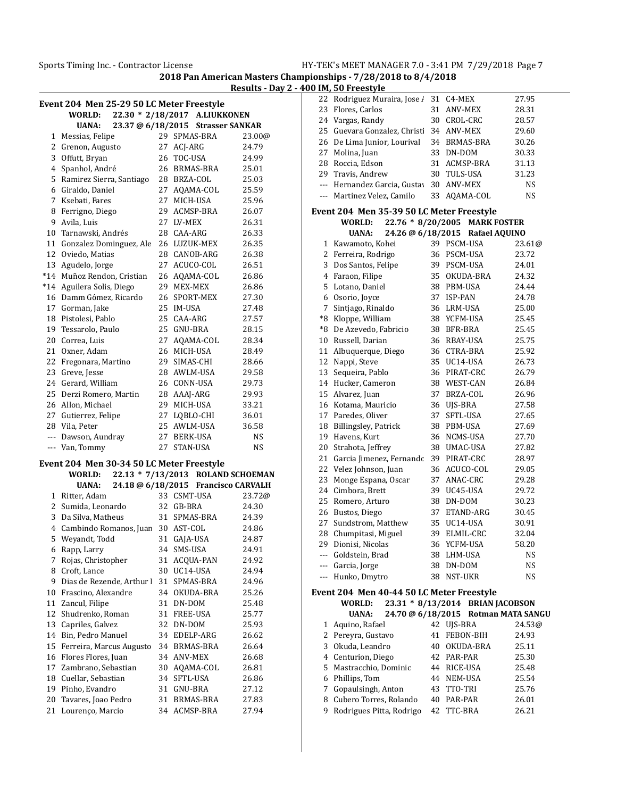|    | Event 204  Men 25-29 50 LC Meter Freestyle |                                     |           |              | 22 Rodriguez Muraira, Jose / 31 C4-MEX    |                                  | 27.95          |
|----|--------------------------------------------|-------------------------------------|-----------|--------------|-------------------------------------------|----------------------------------|----------------|
|    | WORLD:                                     | 22.30 * 2/18/2017 A.LIUKKONEN       |           |              | 23 Flores, Carlos                         | 31 ANV-MEX                       | 28.31          |
|    |                                            |                                     |           |              | 24 Vargas, Randy                          | 30 CROL-CRC                      | 28.57          |
|    | <b>UANA:</b>                               | 23.37 @ 6/18/2015 Strasser SANKAR   |           |              | 25 Guevara Gonzalez, Christi 34 ANV-MEX   |                                  | 29.60          |
|    | 1 Messias, Felipe                          | 29 SPMAS-BRA                        | 23.00@    |              | 26 De Lima Junior, Lourival               | 34 BRMAS-BRA                     | 30.26          |
|    | 2 Grenon, Augusto                          | 27 ACJ-ARG                          | 24.79     | 27           | Molina, Juan                              | 33 DN-DOM                        | 30.33          |
| 3  | Offutt, Bryan                              | 26 TOC-USA                          | 24.99     | 28           | Roccia, Edson                             | 31 ACMSP-BRA                     | 31.13          |
|    | 4 Spanhol, André                           | 26 BRMAS-BRA                        | 25.01     | 29           | Travis, Andrew                            | 30 TULS-USA                      | 31.23          |
|    | 5 Ramirez Sierra, Santiago                 | 28 BRZA-COL                         | 25.03     | $\cdots$     | Hernandez Garcia, Gustay 30 ANV-MEX       |                                  | <b>NS</b>      |
|    | 6 Giraldo, Daniel                          | 27 AQAMA-COL                        | 25.59     | $\cdots$     | Martinez Velez, Camilo                    | 33 AQAMA-COL                     | <b>NS</b>      |
|    | 7 Ksebati, Fares                           | 27 MICH-USA                         | 25.96     |              |                                           |                                  |                |
|    | 8 Ferrigno, Diego                          | 29 ACMSP-BRA                        | 26.07     |              | Event 204 Men 35-39 50 LC Meter Freestyle |                                  |                |
| 9  | Avila, Luis                                | 27 LV-MEX                           | 26.31     |              | WORLD:                                    | 22.76 * 8/20/2005 MARK FOSTER    |                |
| 10 | Tarnawski, Andrés                          | 28 CAA-ARG                          | 26.33     |              | <b>UANA:</b>                              | 24.26 @ 6/18/2015 Rafael AQUINO  |                |
|    | 11 Gonzalez Dominguez, Ale                 | 26 LUZUK-MEX                        | 26.35     |              | 1 Kawamoto, Kohei                         | 39 PSCM-USA                      | 23.61          |
|    | 12 Oviedo, Matias                          | 28 CANOB-ARG                        | 26.38     | $\mathbf{2}$ | Ferreira, Rodrigo                         | 36 PSCM-USA                      | 23.72          |
|    | 13 Agudelo, Jorge                          | 27 ACUCO-COL                        | 26.51     |              | 3 Dos Santos, Felipe                      | 39 PSCM-USA                      | 24.01          |
|    | *14 Muñoz Rendon, Cristian                 | 26 AQAMA-COL                        | 26.86     |              | 4 Faraon, Filipe                          | 35 OKUDA-BRA                     | 24.32          |
|    | *14 Aguilera Solis, Diego                  | 29 MEX-MEX                          | 26.86     |              | 5 Lotano, Daniel                          | 38 PBM-USA                       | 24.44          |
|    | 16 Damm Gómez, Ricardo                     | 26 SPORT-MEX                        | 27.30     | 6            | Osorio, Joyce                             | 37 ISP-PAN                       | 24.78          |
|    | 17 Gorman, Jake                            | 25 IM-USA                           | 27.48     | 7            | Sintjago, Rinaldo                         | 36 LRM-USA                       | 25.00          |
|    | 18 Pistolesi, Pablo                        | 25 CAA-ARG                          | 27.57     |              | *8 Kloppe, William                        | 38 YCFM-USA                      | 25.45          |
|    | 19 Tessarolo, Paulo                        | 25 GNU-BRA                          | 28.15     | *8           | De Azevedo, Fabricio                      | 38 BFR-BRA                       | 25.45          |
|    | 20 Correa, Luis                            | 27 AOAMA-COL                        | 28.34     | 10           | Russell, Darian                           | 36 RBAY-USA                      | 25.75          |
|    | 21 Oxner, Adam                             | 26 MICH-USA                         | 28.49     |              | 11 Albuquerque, Diego                     | 36 CTRA-BRA                      | 25.92          |
|    | 22 Fregonara, Martino                      | 29 SIMAS-CHI                        | 28.66     |              | 12 Nappi, Steve                           | 35 UC14-USA                      | 26.73          |
|    | 23 Greve, Jesse                            | 28 AWLM-USA                         | 29.58     |              | 13 Sequeira, Pablo                        | 36 PIRAT-CRC                     | 26.79          |
|    | 24 Gerard, William                         | 26 CONN-USA                         | 29.73     |              | 14 Hucker, Cameron                        | 38 WEST-CAN                      | 26.84          |
|    | 25 Derzi Romero, Martin                    | 28 AAAJ-ARG                         | 29.93     |              | 15 Alvarez, Juan                          | 37 BRZA-COL                      | 26.96          |
|    | 26 Allon, Michael                          | 29 MICH-USA                         | 33.21     |              | 16 Kotama, Mauricio                       | 36 UJS-BRA                       | 27.58          |
| 27 | Gutierrez, Felipe                          | 27 LQBLO-CHI                        | 36.01     |              | 17 Paredes, Oliver                        | 37 SFTL-USA                      | 27.65          |
|    | 28 Vila, Peter                             | 25 AWLM-USA                         | 36.58     | 18           | Billingsley, Patrick                      | 38 PBM-USA                       | 27.69          |
|    | Dawson, Aundray                            | 27 BERK-USA                         | <b>NS</b> |              | 19 Havens, Kurt                           | 36 NCMS-USA                      | 27.70          |
|    | Van, Tommy                                 | 27 STAN-USA                         | NS.       | 20           | Strahota, Jeffrey                         | 38 UMAC-USA                      | 27.82          |
|    |                                            |                                     |           | 21           | Garcia Jimenez, Fernandc 39 PIRAT-CRC     |                                  | 28.97          |
|    | Event 204  Men 30-34 50 LC Meter Freestyle |                                     |           | 22           | Velez Johnson, Juan                       | 36 ACUCO-COL                     | 29.05          |
|    | WORLD:                                     | 22.13 * 7/13/2013 ROLAND SCHOEMAN   |           | 23           | Monge Espana, Oscar                       | 37 ANAC-CRC                      | 29.28          |
|    | <b>UANA:</b>                               | 24.18 @ 6/18/2015 Francisco CARVALH |           | 24           | Cimbora, Brett                            | 39 UC45-USA                      | 29.72          |
|    | 1 Ritter, Adam                             | 33 CSMT-USA                         | 23.72@    |              | Romero, Arturo                            |                                  |                |
|    | 2 Sumida, Leonardo                         | 32 GB-BRA                           | 24.30     | 25           | Bustos, Diego                             | 38 DN-DOM<br>37 ETAND-ARG        | 30.23<br>30.45 |
|    | 3 Da Silva, Matheus                        | 31 SPMAS-BRA                        | 24.39     | 26           |                                           |                                  |                |
|    | 4 Cambindo Romanos, Juan 30 AST-COL        |                                     | 24.86     | 27           | Sundstrom, Matthew                        | 35 UC14-USA                      | 30.91          |
|    | 5 Weyandt, Todd                            | 31 GAJA-USA                         | 24.87     | 28           | Chumpitasi, Miguel                        | 39 ELMIL-CRC                     | 32.04          |
|    | 6 Rapp, Larry                              | 34 SMS-USA                          | 24.91     | 29           | Dionisi, Nicolas                          | 36 YCFM-USA                      | 58.20          |
|    | 7 Rojas, Christopher                       | 31 ACQUA-PAN                        | 24.92     | ---          | Goldstein, Brad                           | 38 LHM-USA                       | <b>NS</b>      |
|    | 8 Croft, Lance                             | 30 UC14-USA                         | 24.94     | ---          | Garcia, Jorge                             | 38 DN-DOM                        | <b>NS</b>      |
| 9  | Dias de Rezende, Arthur I                  | 31 SPMAS-BRA                        | 24.96     | ---          | Hunko, Dmytro                             | 38 NST-UKR                       | <b>NS</b>      |
| 10 | Frascino, Alexandre                        | 34 OKUDA-BRA                        | 25.26     |              | Event 204 Men 40-44 50 LC Meter Freestyle |                                  |                |
| 11 | Zancul, Filipe                             | 31 DN-DOM                           | 25.48     |              | WORLD:                                    | 23.31 * 8/13/2014 BRIAN JACOBSON |                |
| 12 | Shudrenko, Roman                           | 31 FREE-USA                         | 25.77     |              | <b>UANA:</b>                              | 24.70 @ 6/18/2015 Rotman MATA SA |                |
| 13 | Capriles, Galvez                           | 32 DN-DOM                           | 25.93     |              | 1 Aquino, Rafael                          | 42 UJS-BRA                       | 24.53          |
|    | 14 Bin, Pedro Manuel                       | 34 EDELP-ARG                        | 26.62     | 2            | Pereyra, Gustavo                          | 41 FEBON-BIH                     | 24.93          |
|    | 15 Ferreira, Marcus Augusto                | 34 BRMAS-BRA                        | 26.64     | 3            | Okuda, Leandro                            | 40 OKUDA-BRA                     | 25.11          |
|    |                                            |                                     |           |              |                                           |                                  | 25.30          |
|    | 16 Flores Flores, Juan                     | 34 ANV-MEX                          | 26.68     | 4            | Centurion, Diego                          | 42 PAR-PAR                       |                |
| 17 | Zambrano, Sebastian                        | 30 AQAMA-COL                        | 26.81     | 5            | Mastracchio, Dominic                      | 44 RICE-USA                      | 25.48          |
| 18 | Cuellar, Sebastian                         | 34 SFTL-USA                         | 26.86     | 6            | Phillips, Tom                             | 44 NEM-USA                       | 25.54          |
|    | 19 Pinho, Evandro                          | 31 GNU-BRA                          | 27.12     | 7            | Gopaulsingh, Anton                        | 43 TTO-TRI                       | 25.76          |
| 20 | Tavares, Joao Pedro                        | 31 BRMAS-BRA                        | 27.83     | 8            | Cubero Torres, Rolando                    | 40 PAR-PAR                       | 26.01          |
|    | 21 Lourenço, Marcio                        | 34 ACMSP-BRA                        | 27.94     | 9            | Rodrigues Pitta, Rodrigo                  | 42 TTC-BRA                       | 26.21          |

|         | nourizacz marana, jości                   |    | $01$ $01$ $101$                 | - - - - - |
|---------|-------------------------------------------|----|---------------------------------|-----------|
| 23      | Flores, Carlos                            |    | 31 ANV-MEX                      | 28.31     |
|         | 24 Vargas, Randy                          |    | 30 CROL-CRC                     | 28.57     |
| 25      | Guevara Gonzalez, Christi                 |    | 34 ANV-MEX                      | 29.60     |
| 26      | De Lima Junior, Lourival                  |    | 34 BRMAS-BRA                    | 30.26     |
| 27      | Molina, Juan                              |    | 33 DN-DOM                       | 30.33     |
| 28      | Roccia, Edson                             |    | 31 ACMSP-BRA                    | 31.13     |
|         | 29 Travis, Andrew                         |    | 30 TULS-USA                     | 31.23     |
|         | --- Hernandez Garcia, Gustay              |    | 30 ANV-MEX                      | NS        |
| $---$   | Martinez Velez, Camilo                    |    | 33 AQAMA-COL                    | <b>NS</b> |
|         | Event 204 Men 35-39 50 LC Meter Freestyle |    |                                 |           |
|         | 22.76 * 8/20/2005<br>WORLD:               |    | <b>MARK FOSTER</b>              |           |
|         | <b>UANA:</b>                              |    | 24.26 @ 6/18/2015 Rafael AQUINO |           |
| 1       | Kawamoto, Kohei                           |    | 39 PSCM-USA                     | 23.61@    |
| 2       | Ferreira, Rodrigo                         |    | 36 PSCM-USA                     | 23.72     |
|         | 3 Dos Santos, Felipe                      |    | 39 PSCM-USA                     | 24.01     |
|         |                                           |    | 35 OKUDA-BRA                    | 24.32     |
|         | 4 Faraon, Filipe<br>Lotano, Daniel        |    | 38 PBM-USA                      | 24.44     |
| 5       |                                           |    |                                 | 24.78     |
| 6       | Osorio, Joyce                             |    | 37 ISP-PAN                      |           |
| 7<br>*8 | Sintjago, Rinaldo<br>Kloppe, William      |    | 36 LRM-USA<br>38 YCFM-USA       | 25.00     |
| $^*8$   |                                           |    |                                 | 25.45     |
|         | De Azevedo, Fabricio                      |    | 38 BFR-BRA                      | 25.45     |
| 10      | Russell, Darian                           |    | 36 RBAY-USA                     | 25.75     |
| 11      | Albuquerque, Diego                        |    | 36 CTRA-BRA                     | 25.92     |
| 12      | Nappi, Steve                              |    | 35 UC14-USA                     | 26.73     |
| 13      | Sequeira, Pablo                           |    | 36 PIRAT-CRC                    | 26.79     |
| 14      | Hucker, Cameron                           |    | 38 WEST-CAN                     | 26.84     |
| 15      | Alvarez, Juan                             |    | 37 BRZA-COL                     | 26.96     |
| 16      | Kotama, Mauricio                          |    | 36 UJS-BRA                      | 27.58     |
|         | 17 Paredes, Oliver                        |    | 37 SFTL-USA                     | 27.65     |
| 18      | Billingsley, Patrick                      |    | 38 PBM-USA                      | 27.69     |
| 19      | Havens, Kurt                              |    | 36 NCMS-USA                     | 27.70     |
| 20      | Strahota, Jeffrey                         |    | 38 UMAC-USA                     | 27.82     |
| 21      | Garcia Jimenez, Fernandc                  |    | 39 PIRAT-CRC                    | 28.97     |
| 22      | Velez Johnson, Juan                       |    | 36 ACUCO-COL                    | 29.05     |
| 23      | Monge Espana, Oscar                       |    | 37 ANAC-CRC                     | 29.28     |
| 24      | Cimbora, Brett                            |    | 39 UC45-USA                     | 29.72     |
| 25      | Romero, Arturo                            |    | 38 DN-DOM                       | 30.23     |
| 26      | Bustos, Diego                             |    | 37 ETAND-ARG                    | 30.45     |
| 27      | Sundstrom, Matthew                        |    | 35 UC14-USA                     | 30.91     |
| 28      | Chumpitasi, Miguel                        |    | 39 ELMIL-CRC                    | 32.04     |
| 29      | Dionisi, Nicolas                          |    | 36 YCFM-USA                     | 58.20     |
|         | --- Goldstein, Brad                       |    | 38 LHM-USA                      | NS        |
|         | --- Garcia, Jorge                         | 38 | DN-DOM                          | NS        |
| $---$   | Hunko, Dmytro                             | 38 | NST-UKR                         | NS        |
|         | Event 204 Men 40-44 50 LC Meter Freestyle |    |                                 |           |
|         | 23.31 * 8/13/2014<br>WORLD:               |    | <b>BRIAN JACOBSON</b>           |           |
|         | 24.70 @ 6/18/2015<br><b>UANA:</b>         |    | <b>Rotman MATA SANGU</b>        |           |
| 1       | Aquino, Rafael                            |    | 42 UJS-BRA                      | 24.53@    |
| 2       | Pereyra, Gustavo                          | 41 | FEBON-BIH                       | 24.93     |
| 3       | Okuda, Leandro                            |    | 40 OKUDA-BRA                    | 25.11     |
|         | 4 Centurion, Diego                        |    | 42 PAR-PAR                      | 25.30     |
| 5       | Mastracchio, Dominic                      |    | 44 RICE-USA                     | 25.48     |
| 6       | Phillips, Tom                             |    | 44 NEM-USA                      | 25.54     |
| 7       | Gopaulsingh, Anton                        |    | 43 TTO-TRI                      | 25.76     |
| 8       | Cubero Torres, Rolando                    |    | 40 PAR-PAR                      | 26.01     |
| 9       | Rodrigues Pitta, Rodrigo                  |    | 42 TTC-BRA                      | 26.21     |
|         |                                           |    |                                 |           |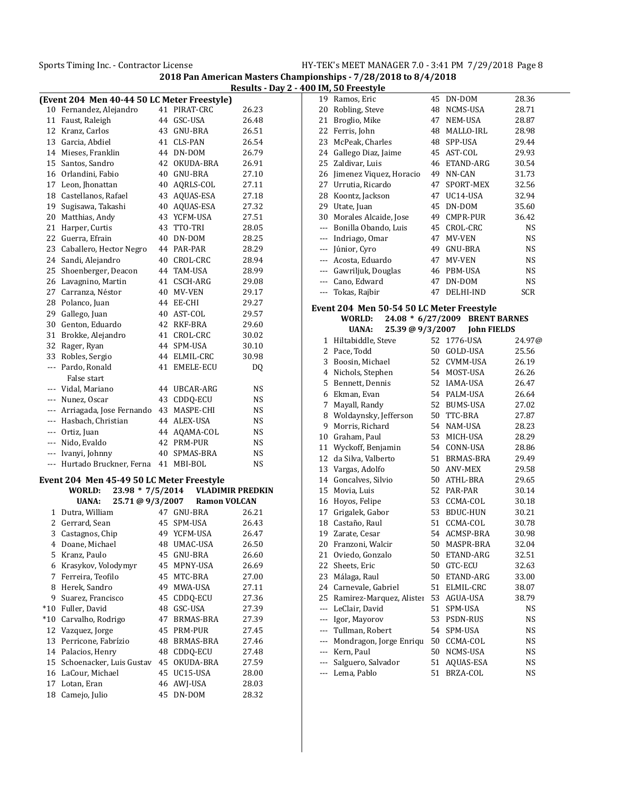|       | (Event 204 Men 40-44 50 LC Meter Freestyle) |    |                         |           |
|-------|---------------------------------------------|----|-------------------------|-----------|
| 10    | Fernandez, Alejandro                        | 41 | PIRAT-CRC               | 26.23     |
|       | 11 Faust, Raleigh                           | 44 | GSC-USA                 | 26.48     |
|       | 12 Kranz, Carlos                            | 43 | GNU-BRA                 | 26.51     |
|       | 13 Garcia, Abdiel                           | 41 | <b>CLS-PAN</b>          | 26.54     |
|       | 14 Mieses, Franklin                         | 44 | DN-DOM                  | 26.79     |
| 15    | Santos, Sandro                              | 42 | OKUDA-BRA               | 26.91     |
| 16    | Orlandini, Fabio                            | 40 | GNU-BRA                 | 27.10     |
| 17    | Leon, Jhonattan                             | 40 | AQRLS-COL               | 27.11     |
| 18    | Castellanos, Rafael                         | 43 | AQUAS-ESA               | 27.18     |
| 19    | Sugisawa, Takashi                           | 40 | AQUAS-ESA               | 27.32     |
| 20    | Matthias, Andy                              |    | 43 YCFM-USA             | 27.51     |
| 21    | Harper, Curtis                              | 43 | TTO-TRI                 | 28.05     |
| 22    | Guerra, Efrain                              | 40 | DN-DOM                  | 28.25     |
| 23    | Caballero, Hector Negro                     | 44 | PAR-PAR                 | 28.29     |
| 24    | Sandi, Alejandro                            | 40 | CROL-CRC                | 28.94     |
| 25    | Shoenberger, Deacon                         | 44 | TAM-USA                 | 28.99     |
| 26    | Lavagnino, Martin                           | 41 | CSCH-ARG                | 29.08     |
| 27    | Carranza, Néstor                            | 40 | MV-VEN                  | 29.17     |
| 28    | Polanco, Juan                               | 44 | EE-CHI                  | 29.27     |
| 29    | Gallego, Juan                               | 40 | AST-COL                 | 29.57     |
| 30    | Genton, Eduardo                             | 42 | RKF-BRA                 | 29.60     |
| 31    | Brokke, Alejandro                           | 41 | CROL-CRC                | 30.02     |
| 32    | Rager, Ryan                                 | 44 | SPM-USA                 | 30.10     |
| 33    | Robles, Sergio                              | 44 | ELMIL-CRC               | 30.98     |
| ---   | Pardo, Ronald                               | 41 | EMELE-ECU               | DO.       |
|       | False start                                 |    |                         |           |
| ---   | Vidal, Mariano                              | 44 | UBCAR-ARG               | NS        |
|       | --- Nunez, Oscar                            | 43 | CDDQ-ECU                | NS        |
|       | --- Arriagada, Jose Fernando                | 43 | MASPE-CHI               | <b>NS</b> |
|       | --- Hasbach, Christian                      | 44 | ALEX-USA                | NS        |
|       | --- Ortiz, Juan                             | 44 | AQAMA-COL               | NS        |
|       | --- Nido, Evaldo                            | 42 | PRM-PUR                 | NS        |
|       | --- Ivanyi, Johnny                          | 40 | SPMAS-BRA               | NS        |
|       | --- Hurtado Bruckner, Ferna                 | 41 | MBI-BOL                 | NS        |
|       | Event 204 Men 45-49 50 LC Meter Freestyle   |    |                         |           |
|       | 23.98 * 7/5/2014<br>WORLD:                  |    | <b>VLADIMIR PREDKIN</b> |           |
|       | 25.71 @ 9/3/2007<br><b>UANA:</b>            |    | <b>Ramon VOLCAN</b>     |           |
| 1     | Dutra, William                              | 47 | GNU-BRA                 | 26.21     |
| 2     | Gerrard, Sean                               | 45 | SPM-USA                 | 26.43     |
| 3     | Castagnos, Chip                             | 49 | YCFM-USA                | 26.47     |
| 4     | Doane, Michael                              |    | 48 UMAC-USA             | 26.50     |
| 5     | Kranz, Paulo                                | 45 | GNU-BRA                 | 26.60     |
| 6     | Krasykov, Volodymyr                         | 45 | MPNY-USA                | 26.69     |
| 7     | Ferreira, Teofilo                           | 45 | MTC-BRA                 | 27.00     |
| 8     | Herek, Sandro                               | 49 | MWA-USA                 | 27.11     |
| 9     | Suarez, Francisco                           | 45 | CDDQ-ECU                | 27.36     |
| $*10$ | Fuller, David                               | 48 | GSC-USA                 | 27.39     |
| $*10$ | Carvalho, Rodrigo                           | 47 | BRMAS-BRA               | 27.39     |
| 12    | Vazquez, Jorge                              | 45 | PRM-PUR                 | 27.45     |
| 13    | Perricone, Fabrízio                         | 48 | BRMAS-BRA               | 27.46     |
| 14    | Palacios, Henry                             | 48 | CDDO-ECU                | 27.48     |
| 15    | Schoenacker, Luis Gustav                    | 45 | OKUDA-BRA               | 27.59     |
| 16    | LaCour, Michael                             | 45 | UC15-USA                | 28.00     |
| 17    | Lotan, Eran                                 | 46 | AWJ-USA                 | 28.03     |
| 18    | Camejo, Julio                               | 45 | DN-DOM                  | 28.32     |

|       | 0 IM, 50 Freestyle                        |    |                     |            |
|-------|-------------------------------------------|----|---------------------|------------|
|       | 19 Ramos, Eric                            | 45 | DN-DOM              | 28.36      |
| 20    | Robling, Steve                            | 48 | NCMS-USA            | 28.71      |
| 21    | Broglio, Mike                             |    | 47 NEM-USA          | 28.87      |
| 22    | Ferris, John                              | 48 | MALLO-IRL           | 28.98      |
| 23    | McPeak, Charles                           |    | 48 SPP-USA          | 29.44      |
| 24    | Gallego Diaz, Jaime                       |    | 45 AST-COL          | 29.93      |
| 25    | Zaldivar, Luis                            | 46 | ETAND-ARG           | 30.54      |
| 26    | Jimenez Viquez, Horacio                   |    | 49 NN-CAN           | 31.73      |
| 27    | Urrutia, Ricardo                          |    | 47 SPORT-MEX        | 32.56      |
| 28    | Koontz, Jackson                           |    | 47 UC14-USA         | 32.94      |
| 29    | Utate, Juan                               | 45 | DN-DOM              | 35.60      |
|       | 30 Morales Alcaide, Jose                  |    | 49 CMPR-PUR         | 36.42      |
|       | --- Bonilla Obando, Luis                  |    | 45 CROL-CRC         | NS         |
| ---   | Indriago, Omar                            |    | 47 MV-VEN           | NS         |
| ---   | Júnior, Cyro                              |    | 49 GNU-BRA          | NS         |
| $---$ | Acosta, Eduardo                           |    | 47 MV-VEN           | NS         |
|       | --- Gawriljuk, Douglas                    |    | 46 PBM-USA          | <b>NS</b>  |
|       | --- Cano, Edward                          |    | 47 DN-DOM           | <b>NS</b>  |
| ---   | Tokas, Rajbir                             | 47 | DELHI-IND           | <b>SCR</b> |
|       | Event 204 Men 50-54 50 LC Meter Freestyle |    |                     |            |
|       | 24.08 * 6/27/2009<br><b>WORLD:</b>        |    | <b>BRENT BARNES</b> |            |
|       | 25.39 @ 9/3/2007<br>UANA:                 |    | <b>John FIELDS</b>  |            |
| 1     | Hiltabiddle, Steve                        | 52 | 1776-USA            | 24.97@     |
|       | 2 Pace, Todd                              |    | 50 GOLD-USA         | 25.56      |
|       | 3 Boosin, Michael                         |    | 52 CVMM-USA         | 26.19      |
|       | 4 Nichols, Stephen                        |    | 54 MOST-USA         | 26.26      |
| 5     | Bennett, Dennis                           |    | 52 IAMA-USA         | 26.47      |
| 6     | Ekman, Evan                               |    | 54 PALM-USA         | 26.64      |
| 7     | Mayall, Randy                             |    | 52 BUMS-USA         | 27.02      |
| 8     | Woldaynsky, Jefferson                     |    | 50 TTC-BRA          | 27.87      |
| 9     | Morris, Richard                           |    | 54 NAM-USA          | 28.23      |
| 10    | Graham, Paul                              |    | 53 MICH-USA         | 28.29      |
| 11    | Wyckoff, Benjamin                         |    | 54 CONN-USA         | 28.86      |
| 12    | da Silva, Valberto                        |    | 51 BRMAS-BRA        | 29.49      |
| 13    | Vargas, Adolfo                            |    | 50 ANV-MEX          | 29.58      |
| 14    | Goncalves, Silvio                         |    | 50 ATHL-BRA         | 29.65      |
| 15    | Movia, Luis                               |    | 52 PAR-PAR          | 30.14      |
| 16    | Hoyos, Felipe                             |    | 53 CCMA-COL         | 30.18      |
| 17    | Grigalek, Gabor                           |    | 53 BDUC-HUN         | 30.21      |
| 18    | Castaño, Raul                             | 51 | CCMA-COL            | 30.78      |
| 19    | Zarate, Cesar                             |    | 54 ACMSP-BRA        | 30.98      |
| 20    | Franzoni, Walcir                          | 50 | MASPR-BRA           | 32.04      |
| 21    | Oviedo, Gonzalo                           | 50 | ETAND-ARG           | 32.51      |
| 22    | Sheets, Eric                              | 50 | GTC-ECU             | 32.63      |
| 23    | Málaga, Raul                              | 50 | ETAND-ARG           | 33.00      |
| 24    | Carnevale, Gabriel                        | 51 | ELMIL-CRC           | 38.07      |
| 25    | Ramirez-Marquez, Alister                  | 53 | AGUA-USA            | 38.79      |
| ---   | LeClair, David                            | 51 | SPM-USA             | NS         |
| ---   | Igor, Mayorov                             | 53 | PSDN-RUS            | NS         |
| ---   | Tullman, Robert                           | 54 | SPM-USA             | NS         |
| ---   | Mondragon, Jorge Enriqu                   | 50 | CCMA-COL            | NS         |
| ---   | Kern, Paul                                | 50 | NCMS-USA            | NS         |
| ---   | Salguero, Salvador                        | 51 | AQUAS-ESA           | NS         |
| ---   | Lema, Pablo                               | 51 | BRZA-COL            | NS         |
|       |                                           |    |                     |            |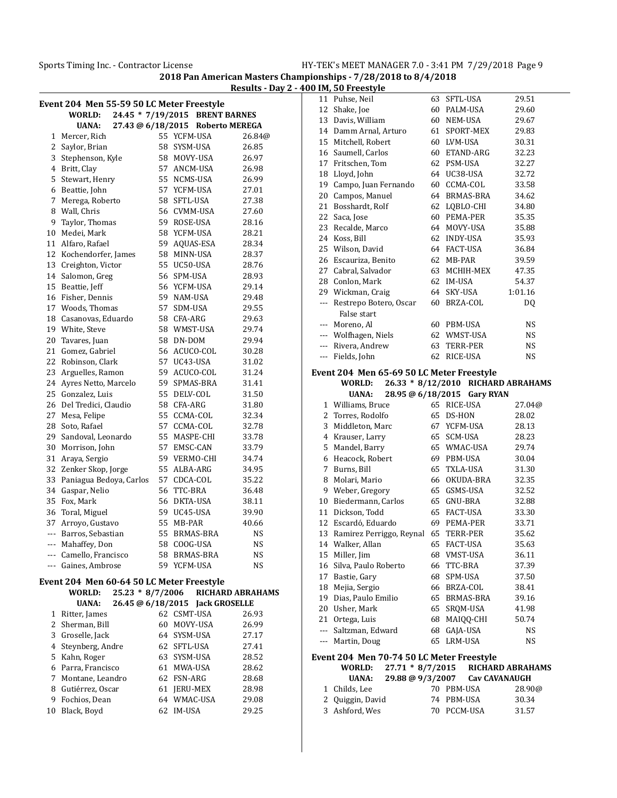|           | Event 204 Men 55-59 50 LC Meter Freestyle  |          |                                  |                      |
|-----------|--------------------------------------------|----------|----------------------------------|----------------------|
|           | WORLD:                                     |          | 24.45 * 7/19/2015 BRENT BARNES   |                      |
|           | <b>UANA:</b>                               |          | 27.43 @ 6/18/2015 Roberto MEREGA |                      |
| 1         | Mercer, Rich                               |          | 55 YCFM-USA                      | 26.84@               |
| 2         | Saylor, Brian                              |          | 58 SYSM-USA                      | 26.85                |
| 3         | Stephenson, Kyle                           |          | 58 MOVY-USA                      | 26.97                |
|           | 4 Britt, Clay                              | 57       | ANCM-USA                         | 26.98                |
| 5         | Stewart, Henry                             | 55       | NCMS-USA                         | 26.99                |
| 6         | Beattie, John                              | 57       | YCFM-USA                         | 27.01                |
| 7         | Merega, Roberto                            | 58       | SFTL-USA                         | 27.38                |
| 8         | Wall, Chris                                |          | 56 CVMM-USA                      | 27.60                |
| 9         | Taylor, Thomas                             |          | 59 ROSE-USA                      | 28.16                |
| 10        | Medei, Mark                                |          | 58 YCFM-USA                      | 28.21                |
| 11        | Alfaro, Rafael                             | 59       | AQUAS-ESA                        | 28.34                |
| 12        | Kochendorfer, James                        |          | 58 MINN-USA                      | 28.37                |
| 13        | Creighton, Victor                          |          | 55 UC50-USA                      | 28.76                |
| 14        | Salomon, Greg                              | 56       | SPM-USA                          | 28.93                |
| 15        | Beattie, Jeff                              |          | 56 YCFM-USA                      | 29.14                |
| 16        | Fisher, Dennis                             |          | 59 NAM-USA                       | 29.48                |
|           | 17 Woods, Thomas                           | 57       | SDM-USA                          | 29.55                |
| 18        | Casanovas, Eduardo                         |          | 58 CFA-ARG                       | 29.63                |
| 19        | White, Steve                               |          | 58 WMST-USA                      | 29.74                |
| 20        | Tavares, Juan                              |          | 58 DN-DOM                        | 29.94                |
| 21        | Gomez, Gabriel                             | 56       | ACUCO-COL                        | 30.28                |
| 22        | Robinson, Clark                            | 57       | UC43-USA                         | 31.02                |
| 23        | Arguelles, Ramon                           | 59       | ACUCO-COL                        | 31.24                |
| 24        | Ayres Netto, Marcelo                       | 59       | SPMAS-BRA                        | 31.41                |
| 25        | Gonzalez, Luis                             | 55       | DELV-COL                         | 31.50                |
| 26        | Del Tredici, Claudio                       |          | 58 CFA-ARG                       | 31.80                |
| 27        | Mesa, Felipe                               |          | 55 CCMA-COL                      | 32.34                |
| 28        | Soto, Rafael                               | 57       | CCMA-COL                         | 32.78                |
| 29        | Sandoval, Leonardo                         | 55       | MASPE-CHI                        | 33.78                |
| 30        | Morrison, John                             | 57       | EMSC-CAN                         | 33.79                |
| 31        | Araya, Sergio                              |          | 59 VERMO-CHI                     | 34.74                |
| 32        | Zenker Skop, Jorge                         | 55       | ALBA-ARG                         | 34.95                |
| 33        | Paniagua Bedoya, Carlos                    | 57       | CDCA-COL                         | 35.22                |
| 34        | Gaspar, Nelio                              | 56       | TTC-BRA                          | 36.48                |
| 35        | Fox, Mark                                  | 56       | <b>DKTA-USA</b>                  | 38.11                |
| 36        |                                            |          | 59 UC45-USA                      |                      |
|           | Toral, Miguel                              | 55       | MB-PAR                           | 39.90                |
| 37<br>--- | Arroyo, Gustavo<br>Barros, Sebastian       | 55       | BRMAS-BRA                        | 40.66                |
| ---       | Mahaffey, Don                              | 58       | COOG-USA                         | NS<br>NS             |
|           |                                            |          |                                  |                      |
|           | --- Camello, Francisco<br>Gaines, Ambrose  | 58<br>59 | <b>BRMAS-BRA</b>                 | NS                   |
| ---       |                                            |          | YCFM-USA                         | NS                   |
|           | Event 204  Men 60-64 50 LC Meter Freestyle |          |                                  |                      |
|           | $25.23 * 8/7/2006$<br>WORLD:               |          |                                  | RICHARD ABRAHAMS     |
|           | 26.45 @ 6/18/2015<br><b>UANA:</b>          |          |                                  | <b>Jack GROSELLE</b> |
| 1         | Ritter, James                              | 62       | CSMT-USA                         | 26.93                |
| 2         | Sherman, Bill                              | 60       | MOVY-USA                         | 26.99                |
| 3         | Groselle, Jack                             |          | 64 SYSM-USA                      | 27.17                |
|           | 4 Steynberg, Andre                         |          | 62 SFTL-USA                      | 27.41                |
| 5         | Kahn, Roger                                |          | 63 SYSM-USA                      | 28.52                |
| 6         | Parra, Francisco                           | 61       | MWA-USA                          | 28.62                |
| 7         | Montane, Leandro                           |          | 62 FSN-ARG                       | 28.68                |
| 8         | Gutiérrez, Oscar                           |          | 61 JERU-MEX                      | 28.98                |
| 9         | Fochios, Dean                              |          | 64 WMAC-USA                      | 29.08                |
| 10        | Black, Boyd                                | 62       | IM-USA                           | 29.25                |
|           |                                            |          |                                  |                      |

| 11                       | Puhse, Neil                               | 63 | SFTL-USA                           | 29.51                |
|--------------------------|-------------------------------------------|----|------------------------------------|----------------------|
| 12                       | Shake, Joe                                |    | 60 PALM-USA                        | 29.60                |
|                          | 13 Davis, William                         |    | 60 NEM-USA                         | 29.67                |
|                          | 14 Damm Arnal, Arturo                     | 61 | SPORT-MEX                          | 29.83                |
| 15                       | Mitchell, Robert                          |    | 60 LVM-USA                         | 30.31                |
| 16                       | Saumell, Carlos                           |    | 60 ETAND-ARG                       | 32.23                |
| 17                       | Fritschen, Tom                            |    | 62 PSM-USA                         | 32.27                |
| 18                       | Lloyd, John                               |    | 64 UC38-USA                        | 32.72                |
| 19                       | Campo, Juan Fernando                      |    | 60 CCMA-COL                        | 33.58                |
| 20                       | Campos, Manuel                            | 64 | BRMAS-BRA                          | 34.62                |
| 21                       | Bosshardt, Rolf                           | 62 | LQBLO-CHI                          | 34.80                |
| 22                       |                                           |    | PEMA-PER                           |                      |
|                          | Saca, Jose                                | 60 |                                    | 35.35                |
| 23                       | Recalde, Marco                            |    | 64 MOVY-USA                        | 35.88                |
| 24                       | Koss, Bill                                | 62 | <b>INDY-USA</b>                    | 35.93                |
| 25                       | Wilson, David                             | 64 | FACT-USA                           | 36.84                |
| 26                       | Escauriza, Benito                         | 62 | MB-PAR                             | 39.59                |
|                          | 27 Cabral, Salvador                       |    | 63 MCHIH-MEX                       | 47.35                |
| 28                       | Conlon, Mark                              |    | 62 IM-USA                          | 54.37                |
| 29                       | Wickman, Craig                            |    | 64 SKY-USA                         | 1:01.16              |
| $---$                    | Restrepo Botero, Oscar                    | 60 | BRZA-COL                           | DQ                   |
|                          | False start                               |    |                                    |                      |
| ---                      | Moreno, Al                                |    | 60 PBM-USA                         | NS                   |
|                          | --- Wolfhagen, Niels                      |    | 62 WMST-USA                        | NS                   |
|                          | --- Rivera, Andrew                        | 63 | TERR-PER                           | NS                   |
|                          | --- Fields, John                          | 62 | RICE-USA                           | NS                   |
|                          | Event 204 Men 65-69 50 LC Meter Freestyle |    |                                    |                      |
|                          | WORLD:                                    |    | 26.33 * 8/12/2010 RICHARD ABRAHAMS |                      |
|                          | UANA:                                     |    | 28.95 @ 6/18/2015 Gary RYAN        |                      |
|                          |                                           |    |                                    |                      |
|                          |                                           |    |                                    |                      |
|                          | 1 Williams, Bruce                         |    | 65 RICE-USA                        | 27.04@               |
| 2                        | Torres, Rodolfo                           |    | 65 DS-HON                          | 28.02                |
| 3                        | Middleton, Marc                           |    | 67 YCFM-USA                        | 28.13                |
|                          | 4 Krauser, Larry                          |    | 65 SCM-USA                         | 28.23                |
| 5                        | Mandel, Barry                             |    | 65 WMAC-USA                        | 29.74                |
|                          | 6 Heacock, Robert                         |    | 69 PBM-USA                         | 30.04                |
| 7                        | Burns, Bill                               | 65 | TXLA-USA                           | 31.30                |
| 8                        | Molari, Mario                             | 66 | OKUDA-BRA                          | 32.35                |
| 9                        | Weber, Gregory                            | 65 | GSMS-USA                           | 32.52                |
|                          | 10 Biedermann, Carlos                     |    | 65 GNU-BRA                         | 32.88                |
|                          | 11 Dickson, Todd                          |    | 65 FACT-USA                        | 33.30                |
| 12                       | Escardó, Eduardo                          |    | 69 PEMA-PER                        | 33.71                |
| 13                       | Ramirez Perriggo, Reynal                  |    | 65 TERR-PER                        | 35.62                |
| 14                       | Walker, Allan                             | 65 | <b>FACT-USA</b>                    | 35.63                |
| 15                       | Miller, Jim                               |    | 68 VMST-USA                        | 36.11                |
| 16                       | Silva, Paulo Roberto                      |    | 66 TTC-BRA                         | 37.39                |
| 17                       | Bastie, Gary                              |    | 68 SPM-USA                         | 37.50                |
|                          | 18 Mejia, Sergio                          |    | 66 BRZA-COL                        | 38.41                |
|                          | 19 Dias, Paulo Emilio                     |    | 65 BRMAS-BRA                       | 39.16                |
|                          | 20 Usher, Mark                            |    | 65 SRQM-USA                        | 41.98                |
|                          | 21 Ortega, Luis                           | 68 | MAIQQ-CHI                          | 50.74                |
| $\overline{\phantom{a}}$ | Saltzman, Edward                          | 68 | GAJA-USA                           | NS                   |
|                          | --- Martin, Doug                          | 65 | LRM-USA                            | NS                   |
|                          | Event 204 Men 70-74 50 LC Meter Freestyle |    |                                    |                      |
|                          | $27.71 * 8/7/2015$<br>WORLD:              |    |                                    | RICHARD ABRAHAMS     |
|                          | <b>UANA:</b><br>29.88 @ 9/3/2007          |    |                                    | <b>Cav CAVANAUGH</b> |
| 1                        | Childs, Lee                               |    | 70 PBM-USA                         | 28.90@               |
| 2                        | Quiggin, David                            |    | 74 PBM-USA                         | 30.34                |